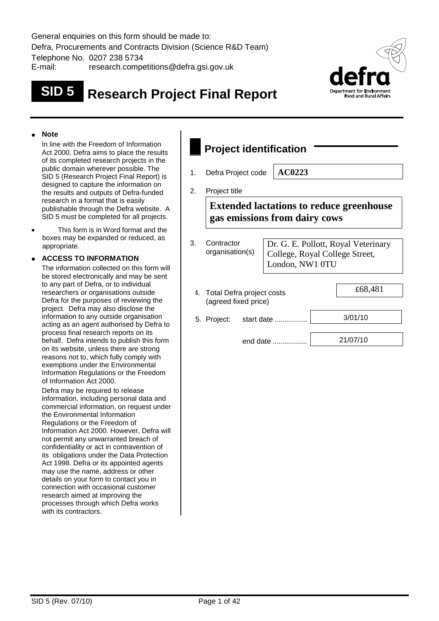General enquiries on this form should be made to: Defra, Procurements and Contracts Division (Science R&D Team) Telephone No. 0207 238 5734 E-mail: research.competitions@defra.gsi.gov.uk

# **SID 5 Research Project Final Report**



#### **Note**

In line with the Freedom of Information Act 2000, Defra aims to place the results of its completed research projects in the public domain wherever possible. The SID 5 (Research Project Final Report) is designed to capture the information on the results and outputs of Defra-funded research in a format that is easily publishable through the Defra website. A SID 5 must be completed for all projects.

 This form is in Word format and the boxes may be expanded or reduced, as appropriate.

#### **ACCESS TO INFORMATION**

The information collected on this form will be stored electronically and may be sent to any part of Defra, or to individual researchers or organisations outside Defra for the purposes of reviewing the project. Defra may also disclose the information to any outside organisation acting as an agent authorised by Defra to process final research reports on its behalf. Defra intends to publish this form on its website, unless there are strong reasons not to, which fully comply with exemptions under the Environmental Information Regulations or the Freedom of Information Act 2000.

Defra may be required to release information, including personal data and commercial information, on request under the Environmental Information Regulations or the Freedom of Information Act 2000. However, Defra will not permit any unwarranted breach of confidentiality or act in contravention of its obligations under the Data Protection Act 1998. Defra or its appointed agents may use the name, address or other details on your form to contact you in connection with occasional customer research aimed at improving the processes through which Defra works with its contractors.

# **Project identification**

1. Defra Project code **AC0223**

2. Project title

**Extended lactations to reduce greenhouse gas emissions from dairy cows**

| 3. | Contractor<br>organisation(s)                        | Dr. G. E. Pollott, Royal Veterinary<br>College, Royal College Street,<br>London, NW1 0TU |  |          |  |  |
|----|------------------------------------------------------|------------------------------------------------------------------------------------------|--|----------|--|--|
|    | 4. Total Defra project costs<br>(agreed fixed price) |                                                                                          |  | £68,481  |  |  |
|    | 5. Project:                                          | start date                                                                               |  | 3/01/10  |  |  |
|    |                                                      | end date                                                                                 |  | 21/07/10 |  |  |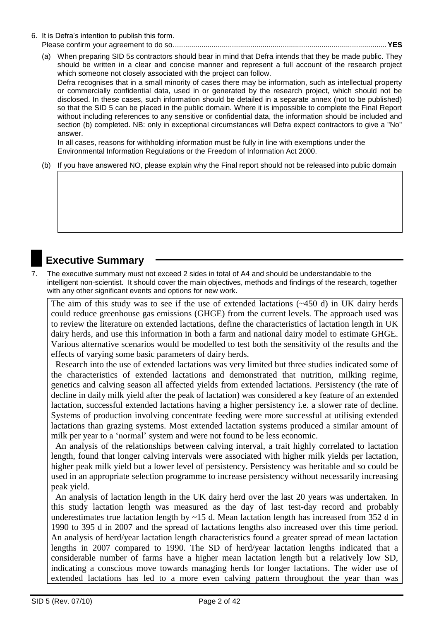6. It is Defra's intention to publish this form.

#### Please confirm your agreement to do so.........................................................................................................**YES**

(a) When preparing SID 5s contractors should bear in mind that Defra intends that they be made public. They should be written in a clear and concise manner and represent a full account of the research project which someone not closely associated with the project can follow.

Defra recognises that in a small minority of cases there may be information, such as intellectual property or commercially confidential data, used in or generated by the research project, which should not be disclosed. In these cases, such information should be detailed in a separate annex (not to be published) so that the SID 5 can be placed in the public domain. Where it is impossible to complete the Final Report without including references to any sensitive or confidential data, the information should be included and section (b) completed. NB: only in exceptional circumstances will Defra expect contractors to give a "No" answer.

In all cases, reasons for withholding information must be fully in line with exemptions under the Environmental Information Regulations or the Freedom of Information Act 2000.

(b) If you have answered NO, please explain why the Final report should not be released into public domain

## **Executive Summary**

7. The executive summary must not exceed 2 sides in total of A4 and should be understandable to the intelligent non-scientist. It should cover the main objectives, methods and findings of the research, together with any other significant events and options for new work.

The aim of this study was to see if the use of extended lactations (~450 d) in UK dairy herds could reduce greenhouse gas emissions (GHGE) from the current levels. The approach used was to review the literature on extended lactations, define the characteristics of lactation length in UK dairy herds, and use this information in both a farm and national dairy model to estimate GHGE. Various alternative scenarios would be modelled to test both the sensitivity of the results and the effects of varying some basic parameters of dairy herds.

 Research into the use of extended lactations was very limited but three studies indicated some of the characteristics of extended lactations and demonstrated that nutrition, milking regime, genetics and calving season all affected yields from extended lactations. Persistency (the rate of decline in daily milk yield after the peak of lactation) was considered a key feature of an extended lactation, successful extended lactations having a higher persistency i.e. a slower rate of decline. Systems of production involving concentrate feeding were more successful at utilising extended lactations than grazing systems. Most extended lactation systems produced a similar amount of milk per year to a "normal" system and were not found to be less economic.

 An analysis of the relationships between calving interval, a trait highly correlated to lactation length, found that longer calving intervals were associated with higher milk yields per lactation, higher peak milk yield but a lower level of persistency. Persistency was heritable and so could be used in an appropriate selection programme to increase persistency without necessarily increasing peak yield.

 An analysis of lactation length in the UK dairy herd over the last 20 years was undertaken. In this study lactation length was measured as the day of last test-day record and probably underestimates true lactation length by ~15 d. Mean lactation length has increased from 352 d in 1990 to 395 d in 2007 and the spread of lactations lengths also increased over this time period. An analysis of herd/year lactation length characteristics found a greater spread of mean lactation lengths in 2007 compared to 1990. The SD of herd/year lactation lengths indicated that a considerable number of farms have a higher mean lactation length but a relatively low SD, indicating a conscious move towards managing herds for longer lactations. The wider use of extended lactations has led to a more even calving pattern throughout the year than was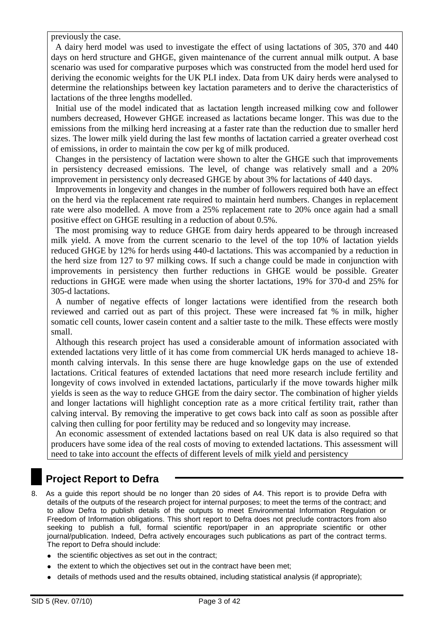previously the case.

 A dairy herd model was used to investigate the effect of using lactations of 305, 370 and 440 days on herd structure and GHGE, given maintenance of the current annual milk output. A base scenario was used for comparative purposes which was constructed from the model herd used for deriving the economic weights for the UK PLI index. Data from UK dairy herds were analysed to determine the relationships between key lactation parameters and to derive the characteristics of lactations of the three lengths modelled.

 Initial use of the model indicated that as lactation length increased milking cow and follower numbers decreased, However GHGE increased as lactations became longer. This was due to the emissions from the milking herd increasing at a faster rate than the reduction due to smaller herd sizes. The lower milk yield during the last few months of lactation carried a greater overhead cost of emissions, in order to maintain the cow per kg of milk produced.

 Changes in the persistency of lactation were shown to alter the GHGE such that improvements in persistency decreased emissions. The level, of change was relatively small and a 20% improvement in persistency only decreased GHGE by about 3% for lactations of 440 days.

 Improvements in longevity and changes in the number of followers required both have an effect on the herd via the replacement rate required to maintain herd numbers. Changes in replacement rate were also modelled. A move from a 25% replacement rate to 20% once again had a small positive effect on GHGE resulting in a reduction of about 0.5%.

 The most promising way to reduce GHGE from dairy herds appeared to be through increased milk yield. A move from the current scenario to the level of the top 10% of lactation yields reduced GHGE by 12% for herds using 440-d lactations. This was accompanied by a reduction in the herd size from 127 to 97 milking cows. If such a change could be made in conjunction with improvements in persistency then further reductions in GHGE would be possible. Greater reductions in GHGE were made when using the shorter lactations, 19% for 370-d and 25% for 305-d lactations.

 A number of negative effects of longer lactations were identified from the research both reviewed and carried out as part of this project. These were increased fat % in milk, higher somatic cell counts, lower casein content and a saltier taste to the milk. These effects were mostly small.

 Although this research project has used a considerable amount of information associated with extended lactations very little of it has come from commercial UK herds managed to achieve 18 month calving intervals. In this sense there are huge knowledge gaps on the use of extended lactations. Critical features of extended lactations that need more research include fertility and longevity of cows involved in extended lactations, particularly if the move towards higher milk yields is seen as the way to reduce GHGE from the dairy sector. The combination of higher yields and longer lactations will highlight conception rate as a more critical fertility trait, rather than calving interval. By removing the imperative to get cows back into calf as soon as possible after calving then culling for poor fertility may be reduced and so longevity may increase.

 An economic assessment of extended lactations based on real UK data is also required so that producers have some idea of the real costs of moving to extended lactations. This assessment will need to take into account the effects of different levels of milk yield and persistency

# **Project Report to Defra**

- 8. As a guide this report should be no longer than 20 sides of A4. This report is to provide Defra with details of the outputs of the research project for internal purposes; to meet the terms of the contract; and to allow Defra to publish details of the outputs to meet Environmental Information Regulation or Freedom of Information obligations. This short report to Defra does not preclude contractors from also seeking to publish a full, formal scientific report/paper in an appropriate scientific or other journal/publication. Indeed, Defra actively encourages such publications as part of the contract terms. The report to Defra should include:
	- the scientific objectives as set out in the contract;
	- the extent to which the objectives set out in the contract have been met;
	- details of methods used and the results obtained, including statistical analysis (if appropriate);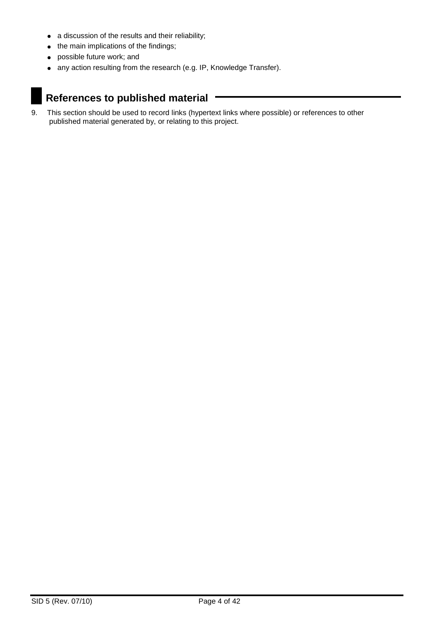- a discussion of the results and their reliability;
- $\bullet$  the main implications of the findings;
- possible future work; and
- any action resulting from the research (e.g. IP, Knowledge Transfer).

# **References to published material**

9. This section should be used to record links (hypertext links where possible) or references to other published material generated by, or relating to this project.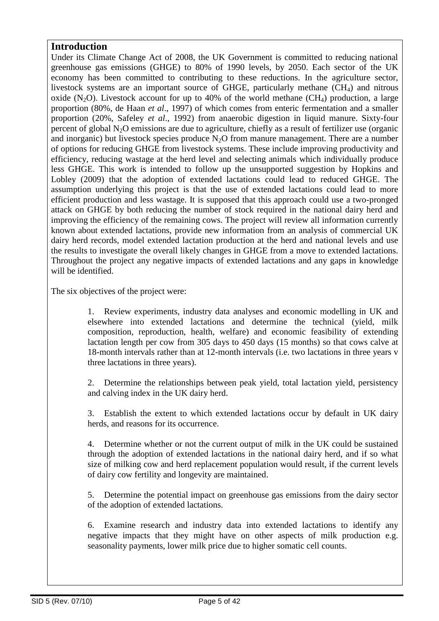### **Introduction**

Under its Climate Change Act of 2008, the UK Government is committed to reducing national greenhouse gas emissions (GHGE) to 80% of 1990 levels, by 2050. Each sector of the UK economy has been committed to contributing to these reductions. In the agriculture sector, livestock systems are an important source of GHGE, particularly methane (CH<sub>4</sub>) and nitrous oxide (N<sub>2</sub>O). Livestock account for up to 40% of the world methane (CH<sub>4</sub>) production, a large proportion (80%, de Haan *et al*., 1997) of which comes from enteric fermentation and a smaller proportion (20%, Safeley *et al*., 1992) from anaerobic digestion in liquid manure. Sixty-four percent of global  $N_2O$  emissions are due to agriculture, chiefly as a result of fertilizer use (organic and inorganic) but livestock species produce  $N_2O$  from manure management. There are a number of options for reducing GHGE from livestock systems. These include improving productivity and efficiency, reducing wastage at the herd level and selecting animals which individually produce less GHGE. This work is intended to follow up the unsupported suggestion by Hopkins and Lobley (2009) that the adoption of extended lactations could lead to reduced GHGE. The assumption underlying this project is that the use of extended lactations could lead to more efficient production and less wastage. It is supposed that this approach could use a two-pronged attack on GHGE by both reducing the number of stock required in the national dairy herd and improving the efficiency of the remaining cows. The project will review all information currently known about extended lactations, provide new information from an analysis of commercial UK dairy herd records, model extended lactation production at the herd and national levels and use the results to investigate the overall likely changes in GHGE from a move to extended lactations. Throughout the project any negative impacts of extended lactations and any gaps in knowledge will be identified.

The six objectives of the project were:

1. Review experiments, industry data analyses and economic modelling in UK and elsewhere into extended lactations and determine the technical (yield, milk composition, reproduction, health, welfare) and economic feasibility of extending lactation length per cow from 305 days to 450 days (15 months) so that cows calve at 18-month intervals rather than at 12-month intervals (i.e. two lactations in three years v three lactations in three years).

2. Determine the relationships between peak yield, total lactation yield, persistency and calving index in the UK dairy herd.

3. Establish the extent to which extended lactations occur by default in UK dairy herds, and reasons for its occurrence.

4. Determine whether or not the current output of milk in the UK could be sustained through the adoption of extended lactations in the national dairy herd, and if so what size of milking cow and herd replacement population would result, if the current levels of dairy cow fertility and longevity are maintained.

5. Determine the potential impact on greenhouse gas emissions from the dairy sector of the adoption of extended lactations.

6. Examine research and industry data into extended lactations to identify any negative impacts that they might have on other aspects of milk production e.g. seasonality payments, lower milk price due to higher somatic cell counts.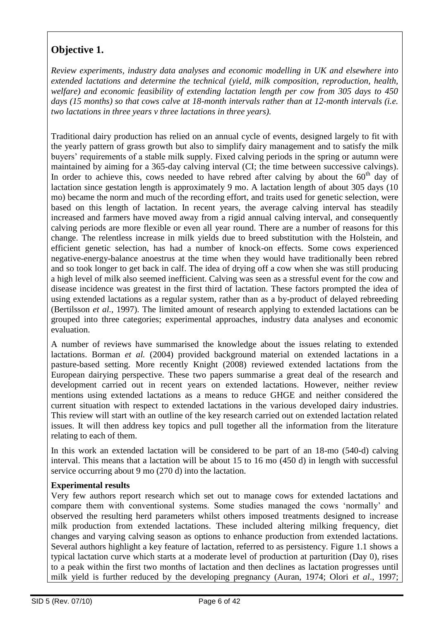# **Objective 1.**

*Review experiments, industry data analyses and economic modelling in UK and elsewhere into extended lactations and determine the technical (yield, milk composition, reproduction, health, welfare) and economic feasibility of extending lactation length per cow from 305 days to 450 days (15 months) so that cows calve at 18-month intervals rather than at 12-month intervals (i.e. two lactations in three years v three lactations in three years).*

Traditional dairy production has relied on an annual cycle of events, designed largely to fit with the yearly pattern of grass growth but also to simplify dairy management and to satisfy the milk buyers" requirements of a stable milk supply. Fixed calving periods in the spring or autumn were maintained by aiming for a 365-day calving interval (CI; the time between successive calvings). In order to achieve this, cows needed to have rebred after calving by about the  $60<sup>th</sup>$  day of lactation since gestation length is approximately 9 mo. A lactation length of about 305 days (10 mo) became the norm and much of the recording effort, and traits used for genetic selection, were based on this length of lactation. In recent years, the average calving interval has steadily increased and farmers have moved away from a rigid annual calving interval, and consequently calving periods are more flexible or even all year round. There are a number of reasons for this change. The relentless increase in milk yields due to breed substitution with the Holstein, and efficient genetic selection, has had a number of knock-on effects. Some cows experienced negative-energy-balance anoestrus at the time when they would have traditionally been rebred and so took longer to get back in calf. The idea of drying off a cow when she was still producing a high level of milk also seemed inefficient. Calving was seen as a stressful event for the cow and disease incidence was greatest in the first third of lactation. These factors prompted the idea of using extended lactations as a regular system, rather than as a by-product of delayed rebreeding (Bertilsson *et al.,* 1997). The limited amount of research applying to extended lactations can be grouped into three categories; experimental approaches, industry data analyses and economic evaluation.

A number of reviews have summarised the knowledge about the issues relating to extended lactations. Borman *et al.* (2004) provided background material on extended lactations in a pasture-based setting. More recently Knight (2008) reviewed extended lactations from the European dairying perspective. These two papers summarise a great deal of the research and development carried out in recent years on extended lactations. However, neither review mentions using extended lactations as a means to reduce GHGE and neither considered the current situation with respect to extended lactations in the various developed dairy industries. This review will start with an outline of the key research carried out on extended lactation related issues. It will then address key topics and pull together all the information from the literature relating to each of them.

In this work an extended lactation will be considered to be part of an 18-mo (540-d) calving interval. This means that a lactation will be about 15 to 16 mo (450 d) in length with successful service occurring about 9 mo (270 d) into the lactation.

#### **Experimental results**

Very few authors report research which set out to manage cows for extended lactations and compare them with conventional systems. Some studies managed the cows "normally" and observed the resulting herd parameters whilst others imposed treatments designed to increase milk production from extended lactations. These included altering milking frequency, diet changes and varying calving season as options to enhance production from extended lactations. Several authors highlight a key feature of lactation, referred to as persistency. Figure 1.1 shows a typical lactation curve which starts at a moderate level of production at parturition (Day 0), rises to a peak within the first two months of lactation and then declines as lactation progresses until milk yield is further reduced by the developing pregnancy (Auran, 1974; Olori *et al*., 1997;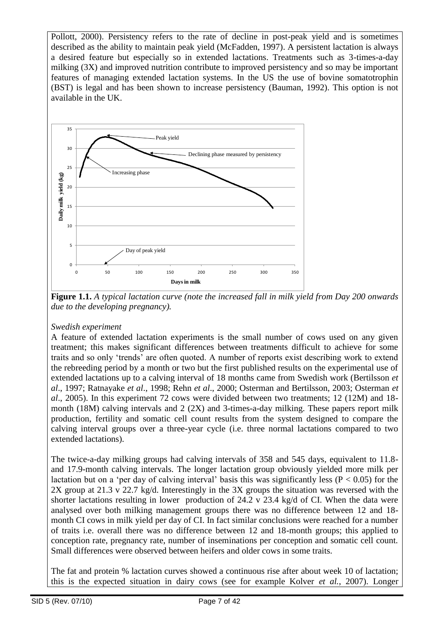Pollott, 2000). Persistency refers to the rate of decline in post-peak yield and is sometimes described as the ability to maintain peak yield (McFadden, 1997). A persistent lactation is always a desired feature but especially so in extended lactations. Treatments such as 3-times-a-day milking (3X) and improved nutrition contribute to improved persistency and so may be important features of managing extended lactation systems. In the US the use of bovine somatotrophin (BST) is legal and has been shown to increase persistency (Bauman, 1992). This option is not available in the UK.



**Figure 1.1.** *A typical lactation curve (note the increased fall in milk yield from Day 200 onwards due to the developing pregnancy).*

#### *Swedish experiment*

A feature of extended lactation experiments is the small number of cows used on any given treatment; this makes significant differences between treatments difficult to achieve for some traits and so only "trends" are often quoted. A number of reports exist describing work to extend the rebreeding period by a month or two but the first published results on the experimental use of extended lactations up to a calving interval of 18 months came from Swedish work (Bertilsson *et al*., 1997; Ratnayake *et al*., 1998; Rehn *et al*., 2000; Osterman and Bertilsson, 2003; Osterman *et al*., 2005). In this experiment 72 cows were divided between two treatments; 12 (12M) and 18 month (18M) calving intervals and 2 (2X) and 3-times-a-day milking. These papers report milk production, fertility and somatic cell count results from the system designed to compare the calving interval groups over a three-year cycle (i.e. three normal lactations compared to two extended lactations).

The twice-a-day milking groups had calving intervals of 358 and 545 days, equivalent to 11.8 and 17.9-month calving intervals. The longer lactation group obviously yielded more milk per lactation but on a 'per day of calving interval' basis this was significantly less ( $P < 0.05$ ) for the 2X group at 21.3 v 22.7 kg/d. Interestingly in the 3X groups the situation was reversed with the shorter lactations resulting in lower production of 24.2 v 23.4 kg/d of CI. When the data were analysed over both milking management groups there was no difference between 12 and 18 month CI cows in milk yield per day of CI. In fact similar conclusions were reached for a number of traits i.e. overall there was no difference between 12 and 18-month groups; this applied to conception rate, pregnancy rate, number of inseminations per conception and somatic cell count. Small differences were observed between heifers and older cows in some traits.

The fat and protein % lactation curves showed a continuous rise after about week 10 of lactation; this is the expected situation in dairy cows (see for example Kolver *et al.*, 2007). Longer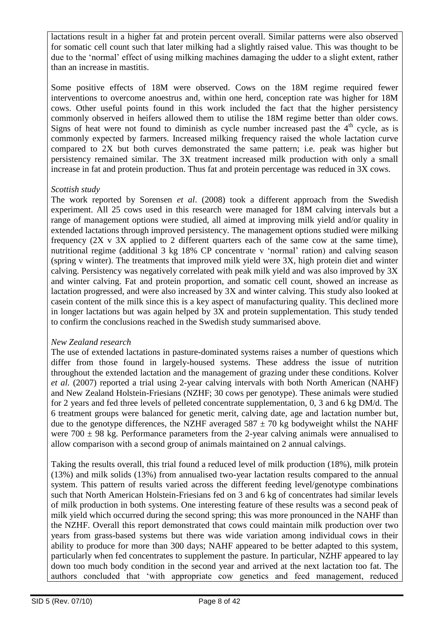lactations result in a higher fat and protein percent overall. Similar patterns were also observed for somatic cell count such that later milking had a slightly raised value. This was thought to be due to the "normal" effect of using milking machines damaging the udder to a slight extent, rather than an increase in mastitis.

Some positive effects of 18M were observed. Cows on the 18M regime required fewer interventions to overcome anoestrus and, within one herd, conception rate was higher for 18M cows. Other useful points found in this work included the fact that the higher persistency commonly observed in heifers allowed them to utilise the 18M regime better than older cows. Signs of heat were not found to diminish as cycle number increased past the  $4<sup>th</sup>$  cycle, as is commonly expected by farmers. Increased milking frequency raised the whole lactation curve compared to 2X but both curves demonstrated the same pattern; i.e. peak was higher but persistency remained similar. The 3X treatment increased milk production with only a small increase in fat and protein production. Thus fat and protein percentage was reduced in 3X cows.

#### *Scottish study*

The work reported by Sorensen *et al*. (2008) took a different approach from the Swedish experiment. All 25 cows used in this research were managed for 18M calving intervals but a range of management options were studied, all aimed at improving milk yield and/or quality in extended lactations through improved persistency. The management options studied were milking frequency (2X v 3X applied to 2 different quarters each of the same cow at the same time), nutritional regime (additional 3 kg 18% CP concentrate v 'normal' ration) and calving season (spring v winter). The treatments that improved milk yield were 3X, high protein diet and winter calving. Persistency was negatively correlated with peak milk yield and was also improved by 3X and winter calving. Fat and protein proportion, and somatic cell count, showed an increase as lactation progressed, and were also increased by 3X and winter calving. This study also looked at casein content of the milk since this is a key aspect of manufacturing quality. This declined more in longer lactations but was again helped by 3X and protein supplementation. This study tended to confirm the conclusions reached in the Swedish study summarised above.

#### *New Zealand research*

The use of extended lactations in pasture-dominated systems raises a number of questions which differ from those found in largely-housed systems. These address the issue of nutrition throughout the extended lactation and the management of grazing under these conditions. Kolver *et al.* (2007) reported a trial using 2-year calving intervals with both North American (NAHF) and New Zealand Holstein-Friesians (NZHF; 30 cows per genotype). These animals were studied for 2 years and fed three levels of pelleted concentrate supplementation, 0, 3 and 6 kg DM/d. The 6 treatment groups were balanced for genetic merit, calving date, age and lactation number but, due to the genotype differences, the NZHF averaged  $587 \pm 70$  kg bodyweight whilst the NAHF were  $700 \pm 98$  kg. Performance parameters from the 2-year calving animals were annualised to allow comparison with a second group of animals maintained on 2 annual calvings.

Taking the results overall, this trial found a reduced level of milk production (18%), milk protein (13%) and milk solids (13%) from annualised two-year lactation results compared to the annual system. This pattern of results varied across the different feeding level/genotype combinations such that North American Holstein-Friesians fed on 3 and 6 kg of concentrates had similar levels of milk production in both systems. One interesting feature of these results was a second peak of milk yield which occurred during the second spring; this was more pronounced in the NAHF than the NZHF. Overall this report demonstrated that cows could maintain milk production over two years from grass-based systems but there was wide variation among individual cows in their ability to produce for more than 300 days; NAHF appeared to be better adapted to this system, particularly when fed concentrates to supplement the pasture. In particular, NZHF appeared to lay down too much body condition in the second year and arrived at the next lactation too fat. The authors concluded that "with appropriate cow genetics and feed management, reduced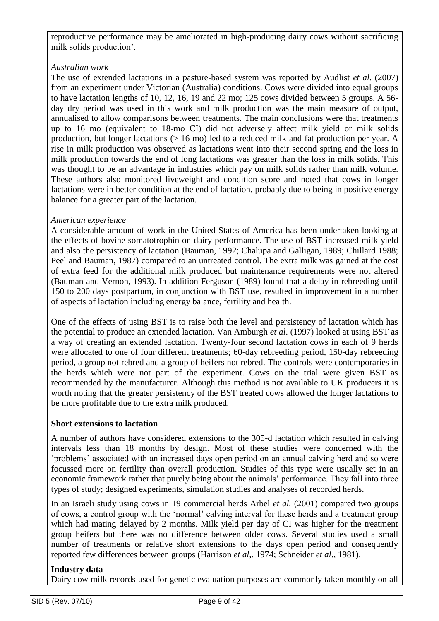reproductive performance may be ameliorated in high-producing dairy cows without sacrificing milk solids production'.

#### *Australian work*

The use of extended lactations in a pasture-based system was reported by Audlist *et al.* (2007) from an experiment under Victorian (Australia) conditions. Cows were divided into equal groups to have lactation lengths of 10, 12, 16, 19 and 22 mo; 125 cows divided between 5 groups. A 56 day dry period was used in this work and milk production was the main measure of output, annualised to allow comparisons between treatments. The main conclusions were that treatments up to 16 mo (equivalent to 18-mo CI) did not adversely affect milk yield or milk solids production, but longer lactations (> 16 mo) led to a reduced milk and fat production per year. A rise in milk production was observed as lactations went into their second spring and the loss in milk production towards the end of long lactations was greater than the loss in milk solids. This was thought to be an advantage in industries which pay on milk solids rather than milk volume. These authors also monitored liveweight and condition score and noted that cows in longer lactations were in better condition at the end of lactation, probably due to being in positive energy balance for a greater part of the lactation.

#### *American experience*

A considerable amount of work in the United States of America has been undertaken looking at the effects of bovine somatotrophin on dairy performance. The use of BST increased milk yield and also the persistency of lactation (Bauman, 1992; Chalupa and Galligan, 1989; Chillard 1988; Peel and Bauman, 1987) compared to an untreated control. The extra milk was gained at the cost of extra feed for the additional milk produced but maintenance requirements were not altered (Bauman and Vernon, 1993). In addition Ferguson (1989) found that a delay in rebreeding until 150 to 200 days postpartum, in conjunction with BST use, resulted in improvement in a number of aspects of lactation including energy balance, fertility and health.

One of the effects of using BST is to raise both the level and persistency of lactation which has the potential to produce an extended lactation. Van Amburgh *et al*. (1997) looked at using BST as a way of creating an extended lactation. Twenty-four second lactation cows in each of 9 herds were allocated to one of four different treatments; 60-day rebreeding period, 150-day rebreeding period, a group not rebred and a group of heifers not rebred. The controls were contemporaries in the herds which were not part of the experiment. Cows on the trial were given BST as recommended by the manufacturer. Although this method is not available to UK producers it is worth noting that the greater persistency of the BST treated cows allowed the longer lactations to be more profitable due to the extra milk produced.

#### **Short extensions to lactation**

A number of authors have considered extensions to the 305-d lactation which resulted in calving intervals less than 18 months by design. Most of these studies were concerned with the "problems" associated with an increased days open period on an annual calving herd and so were focussed more on fertility than overall production. Studies of this type were usually set in an economic framework rather that purely being about the animals" performance. They fall into three types of study; designed experiments, simulation studies and analyses of recorded herds.

In an Israeli study using cows in 19 commercial herds Arbel *et al.* (2001) compared two groups of cows, a control group with the "normal" calving interval for these herds and a treatment group which had mating delayed by 2 months. Milk yield per day of CI was higher for the treatment group heifers but there was no difference between older cows. Several studies used a small number of treatments or relative short extensions to the days open period and consequently reported few differences between groups (Harrison *et al,.* 1974; Schneider *et al*., 1981).

#### **Industry data**

Dairy cow milk records used for genetic evaluation purposes are commonly taken monthly on all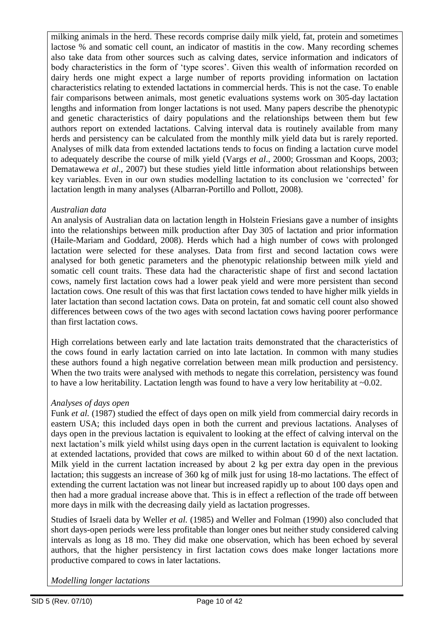milking animals in the herd. These records comprise daily milk yield, fat, protein and sometimes lactose % and somatic cell count, an indicator of mastitis in the cow. Many recording schemes also take data from other sources such as calving dates, service information and indicators of body characteristics in the form of 'type scores'. Given this wealth of information recorded on dairy herds one might expect a large number of reports providing information on lactation characteristics relating to extended lactations in commercial herds. This is not the case. To enable fair comparisons between animals, most genetic evaluations systems work on 305-day lactation lengths and information from longer lactations is not used. Many papers describe the phenotypic and genetic characteristics of dairy populations and the relationships between them but few authors report on extended lactations. Calving interval data is routinely available from many herds and persistency can be calculated from the monthly milk yield data but is rarely reported. Analyses of milk data from extended lactations tends to focus on finding a lactation curve model to adequately describe the course of milk yield (Vargs *et al*., 2000; Grossman and Koops, 2003; Dematawewa *et al*., 2007) but these studies yield little information about relationships between key variables. Even in our own studies modelling lactation to its conclusion we "corrected" for lactation length in many analyses (Albarran-Portillo and Pollott, 2008).

#### *Australian data*

An analysis of Australian data on lactation length in Holstein Friesians gave a number of insights into the relationships between milk production after Day 305 of lactation and prior information (Haile-Mariam and Goddard, 2008). Herds which had a high number of cows with prolonged lactation were selected for these analyses. Data from first and second lactation cows were analysed for both genetic parameters and the phenotypic relationship between milk yield and somatic cell count traits. These data had the characteristic shape of first and second lactation cows, namely first lactation cows had a lower peak yield and were more persistent than second lactation cows. One result of this was that first lactation cows tended to have higher milk yields in later lactation than second lactation cows. Data on protein, fat and somatic cell count also showed differences between cows of the two ages with second lactation cows having poorer performance than first lactation cows.

High correlations between early and late lactation traits demonstrated that the characteristics of the cows found in early lactation carried on into late lactation. In common with many studies these authors found a high negative correlation between mean milk production and persistency. When the two traits were analysed with methods to negate this correlation, persistency was found to have a low heritability. Lactation length was found to have a very low heritability at ~0.02.

#### *Analyses of days open*

Funk *et al.* (1987) studied the effect of days open on milk yield from commercial dairy records in eastern USA; this included days open in both the current and previous lactations. Analyses of days open in the previous lactation is equivalent to looking at the effect of calving interval on the next lactation"s milk yield whilst using days open in the current lactation is equivalent to looking at extended lactations, provided that cows are milked to within about 60 d of the next lactation. Milk yield in the current lactation increased by about 2 kg per extra day open in the previous lactation; this suggests an increase of 360 kg of milk just for using 18-mo lactations. The effect of extending the current lactation was not linear but increased rapidly up to about 100 days open and then had a more gradual increase above that. This is in effect a reflection of the trade off between more days in milk with the decreasing daily yield as lactation progresses.

Studies of Israeli data by Weller *et al.* (1985) and Weller and Folman (1990) also concluded that short days-open periods were less profitable than longer ones but neither study considered calving intervals as long as 18 mo. They did make one observation, which has been echoed by several authors, that the higher persistency in first lactation cows does make longer lactations more productive compared to cows in later lactations.

*Modelling longer lactations*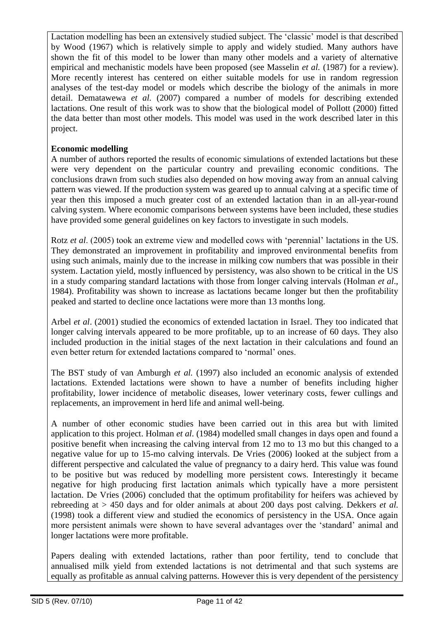Lactation modelling has been an extensively studied subject. The "classic" model is that described by Wood (1967) which is relatively simple to apply and widely studied. Many authors have shown the fit of this model to be lower than many other models and a variety of alternative empirical and mechanistic models have been proposed (see Masselin *et al.* (1987) for a review). More recently interest has centered on either suitable models for use in random regression analyses of the test-day model or models which describe the biology of the animals in more detail. Dematawewa *et al.* (2007) compared a number of models for describing extended lactations. One result of this work was to show that the biological model of Pollott (2000) fitted the data better than most other models. This model was used in the work described later in this project.

#### **Economic modelling**

A number of authors reported the results of economic simulations of extended lactations but these were very dependent on the particular country and prevailing economic conditions. The conclusions drawn from such studies also depended on how moving away from an annual calving pattern was viewed. If the production system was geared up to annual calving at a specific time of year then this imposed a much greater cost of an extended lactation than in an all-year-round calving system. Where economic comparisons between systems have been included, these studies have provided some general guidelines on key factors to investigate in such models.

Rotz *et al.* (2005) took an extreme view and modelled cows with 'perennial' lactations in the US. They demonstrated an improvement in profitability and improved environmental benefits from using such animals, mainly due to the increase in milking cow numbers that was possible in their system. Lactation yield, mostly influenced by persistency, was also shown to be critical in the US in a study comparing standard lactations with those from longer calving intervals (Holman *et al*., 1984). Profitability was shown to increase as lactations became longer but then the profitability peaked and started to decline once lactations were more than 13 months long.

Arbel *et al*. (2001) studied the economics of extended lactation in Israel. They too indicated that longer calving intervals appeared to be more profitable, up to an increase of 60 days. They also included production in the initial stages of the next lactation in their calculations and found an even better return for extended lactations compared to "normal" ones.

The BST study of van Amburgh *et al.* (1997) also included an economic analysis of extended lactations. Extended lactations were shown to have a number of benefits including higher profitability, lower incidence of metabolic diseases, lower veterinary costs, fewer cullings and replacements, an improvement in herd life and animal well-being.

A number of other economic studies have been carried out in this area but with limited application to this project. Holman *et al*. (1984) modelled small changes in days open and found a positive benefit when increasing the calving interval from 12 mo to 13 mo but this changed to a negative value for up to 15-mo calving intervals. De Vries (2006) looked at the subject from a different perspective and calculated the value of pregnancy to a dairy herd. This value was found to be positive but was reduced by modelling more persistent cows. Interestingly it became negative for high producing first lactation animals which typically have a more persistent lactation. De Vries (2006) concluded that the optimum profitability for heifers was achieved by rebreeding at > 450 days and for older animals at about 200 days post calving. Dekkers *et al.* (1998) took a different view and studied the economics of persistency in the USA. Once again more persistent animals were shown to have several advantages over the "standard" animal and longer lactations were more profitable.

Papers dealing with extended lactations, rather than poor fertility, tend to conclude that annualised milk yield from extended lactations is not detrimental and that such systems are equally as profitable as annual calving patterns. However this is very dependent of the persistency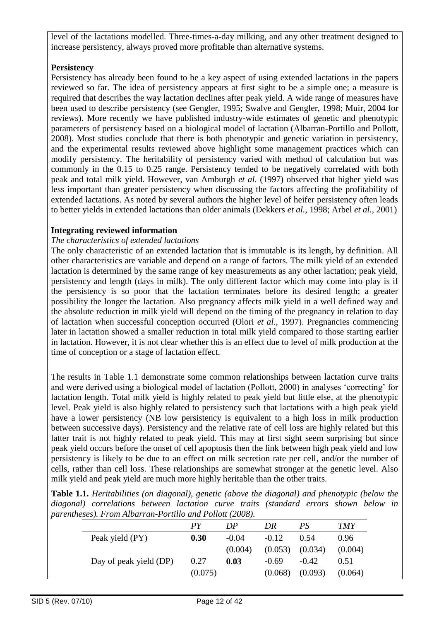level of the lactations modelled. Three-times-a-day milking, and any other treatment designed to increase persistency, always proved more profitable than alternative systems.

#### **Persistency**

Persistency has already been found to be a key aspect of using extended lactations in the papers reviewed so far. The idea of persistency appears at first sight to be a simple one; a measure is required that describes the way lactation declines after peak yield. A wide range of measures have been used to describe persistency (see Gengler, 1995; Swalve and Gengler, 1998; Muir, 2004 for reviews). More recently we have published industry-wide estimates of genetic and phenotypic parameters of persistency based on a biological model of lactation (Albarran-Portillo and Pollott, 2008). Most studies conclude that there is both phenotypic and genetic variation in persistency, and the experimental results reviewed above highlight some management practices which can modify persistency. The heritability of persistency varied with method of calculation but was commonly in the 0.15 to 0.25 range. Persistency tended to be negatively correlated with both peak and total milk yield. However, van Amburgh *et al.* (1997) observed that higher yield was less important than greater persistency when discussing the factors affecting the profitability of extended lactations. As noted by several authors the higher level of heifer persistency often leads to better yields in extended lactations than older animals (Dekkers *et al.*, 1998; Arbel *et al.,* 2001)

#### **Integrating reviewed information**

#### *The characteristics of extended lactations*

The only characteristic of an extended lactation that is immutable is its length, by definition. All other characteristics are variable and depend on a range of factors. The milk yield of an extended lactation is determined by the same range of key measurements as any other lactation; peak yield, persistency and length (days in milk). The only different factor which may come into play is if the persistency is so poor that the lactation terminates before its desired length; a greater possibility the longer the lactation. Also pregnancy affects milk yield in a well defined way and the absolute reduction in milk yield will depend on the timing of the pregnancy in relation to day of lactation when successful conception occurred (Olori *et al.,* 1997). Pregnancies commencing later in lactation showed a smaller reduction in total milk yield compared to those starting earlier in lactation. However, it is not clear whether this is an effect due to level of milk production at the time of conception or a stage of lactation effect.

The results in Table 1.1 demonstrate some common relationships between lactation curve traits and were derived using a biological model of lactation (Pollott, 2000) in analyses "correcting" for lactation length. Total milk yield is highly related to peak yield but little else, at the phenotypic level. Peak yield is also highly related to persistency such that lactations with a high peak yield have a lower persistency (NB low persistency is equivalent to a high loss in milk production between successive days). Persistency and the relative rate of cell loss are highly related but this latter trait is not highly related to peak yield. This may at first sight seem surprising but since peak yield occurs before the onset of cell apoptosis then the link between high peak yield and low persistency is likely to be due to an effect on milk secretion rate per cell, and/or the number of cells, rather than cell loss. These relationships are somewhat stronger at the genetic level. Also milk yield and peak yield are much more highly heritable than the other traits.

**Table 1.1.** *Heritabilities (on diagonal), genetic (above the diagonal) and phenotypic (below the diagonal) correlations between lactation curve traits (standard errors shown below in parentheses). From Albarran-Portillo and Pollott (2008).*

|                        | PY      | DP      | DR      | PS                  | <i>TMY</i> |
|------------------------|---------|---------|---------|---------------------|------------|
| Peak yield (PY)        | 0.30    | $-0.04$ | $-0.12$ | 0.54                | 0.96       |
|                        |         | (0.004) |         | $(0.053)$ $(0.034)$ | (0.004)    |
| Day of peak yield (DP) | 0.27    | 0.03    | $-0.69$ | $-0.42$             | 0.51       |
|                        | (0.075) |         | (0.068) | (0.093)             | (0.064)    |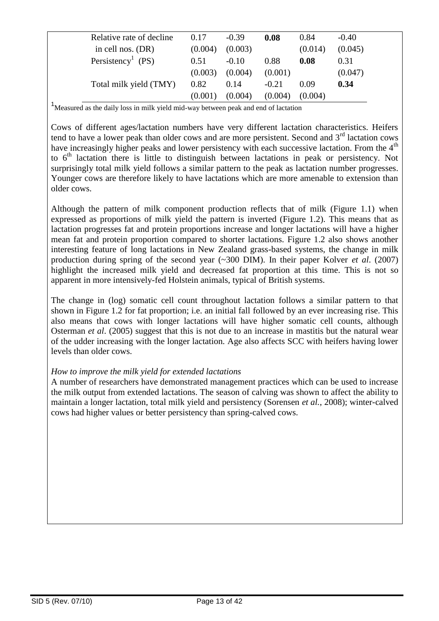| Relative rate of decline      | 0.17    | $-0.39$ | 0.08    | 0.84    | $-0.40$ |  |
|-------------------------------|---------|---------|---------|---------|---------|--|
| in cell nos. $(DR)$           | (0.004) | (0.003) |         | (0.014) | (0.045) |  |
| Persistency <sup>1</sup> (PS) | 0.51    | $-0.10$ | 0.88    | 0.08    | 0.31    |  |
|                               | (0.003) | (0.004) | (0.001) |         | (0.047) |  |
| Total milk yield (TMY)        | 0.82    | 0.14    | $-0.21$ | 0.09    | 0.34    |  |
|                               | (0.001) | (0.004) | (0.004) | (0.004) |         |  |
|                               |         |         |         |         |         |  |

<sup>1</sup>Measured as the daily loss in milk yield mid-way between peak and end of lactation

Cows of different ages/lactation numbers have very different lactation characteristics. Heifers tend to have a lower peak than older cows and are more persistent. Second and  $3<sup>rd</sup>$  lactation cows have increasingly higher peaks and lower persistency with each successive lactation. From the 4<sup>th</sup> to  $6<sup>th</sup>$  lactation there is little to distinguish between lactations in peak or persistency. Not surprisingly total milk yield follows a similar pattern to the peak as lactation number progresses. Younger cows are therefore likely to have lactations which are more amenable to extension than older cows.

Although the pattern of milk component production reflects that of milk (Figure 1.1) when expressed as proportions of milk yield the pattern is inverted (Figure 1.2). This means that as lactation progresses fat and protein proportions increase and longer lactations will have a higher mean fat and protein proportion compared to shorter lactations. Figure 1.2 also shows another interesting feature of long lactations in New Zealand grass-based systems, the change in milk production during spring of the second year (~300 DIM). In their paper Kolver *et al*. (2007) highlight the increased milk yield and decreased fat proportion at this time. This is not so apparent in more intensively-fed Holstein animals, typical of British systems.

The change in (log) somatic cell count throughout lactation follows a similar pattern to that shown in Figure 1.2 for fat proportion; i.e. an initial fall followed by an ever increasing rise. This also means that cows with longer lactations will have higher somatic cell counts, although Osterman *et al*. (2005) suggest that this is not due to an increase in mastitis but the natural wear of the udder increasing with the longer lactation. Age also affects SCC with heifers having lower levels than older cows.

#### *How to improve the milk yield for extended lactations*

A number of researchers have demonstrated management practices which can be used to increase the milk output from extended lactations. The season of calving was shown to affect the ability to maintain a longer lactation, total milk yield and persistency (Sorensen *et al.*, 2008); winter-calved cows had higher values or better persistency than spring-calved cows.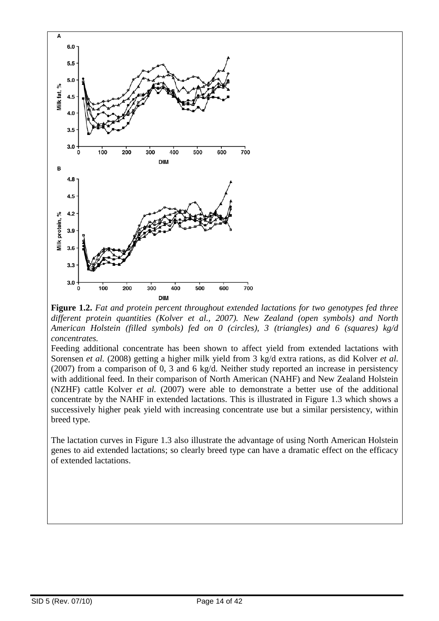

**Figure 1.2.** *Fat and protein percent throughout extended lactations for two genotypes fed three different protein quantities (Kolver et al., 2007). New Zealand (open symbols) and North American Holstein (filled symbols) fed on 0 (circles), 3 (triangles) and 6 (squares) kg/d concentrates.*

Feeding additional concentrate has been shown to affect yield from extended lactations with Sorensen *et al.* (2008) getting a higher milk yield from 3 kg/d extra rations, as did Kolver *et al.* (2007) from a comparison of 0, 3 and 6 kg/d. Neither study reported an increase in persistency with additional feed. In their comparison of North American (NAHF) and New Zealand Holstein (NZHF) cattle Kolver *et al.* (2007) were able to demonstrate a better use of the additional concentrate by the NAHF in extended lactations. This is illustrated in Figure 1.3 which shows a successively higher peak yield with increasing concentrate use but a similar persistency, within breed type.

The lactation curves in Figure 1.3 also illustrate the advantage of using North American Holstein genes to aid extended lactations; so clearly breed type can have a dramatic effect on the efficacy of extended lactations.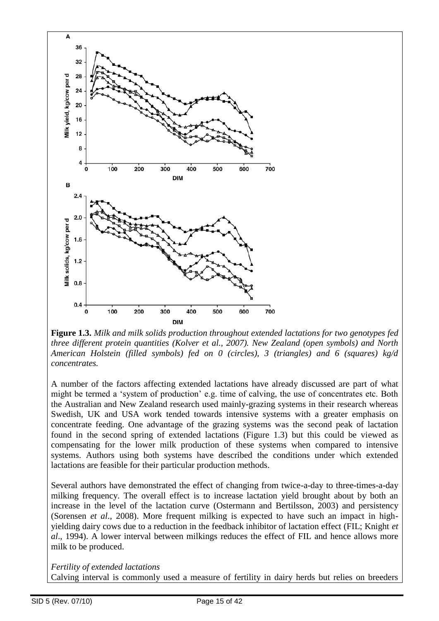

**Figure 1.3.** *Milk and milk solids production throughout extended lactations for two genotypes fed three different protein quantities (Kolver et al., 2007). New Zealand (open symbols) and North American Holstein (filled symbols) fed on 0 (circles), 3 (triangles) and 6 (squares) kg/d concentrates.*

A number of the factors affecting extended lactations have already discussed are part of what might be termed a "system of production" e.g. time of calving, the use of concentrates etc. Both the Australian and New Zealand research used mainly-grazing systems in their research whereas Swedish, UK and USA work tended towards intensive systems with a greater emphasis on concentrate feeding. One advantage of the grazing systems was the second peak of lactation found in the second spring of extended lactations (Figure 1.3) but this could be viewed as compensating for the lower milk production of these systems when compared to intensive systems. Authors using both systems have described the conditions under which extended lactations are feasible for their particular production methods.

Several authors have demonstrated the effect of changing from twice-a-day to three-times-a-day milking frequency. The overall effect is to increase lactation yield brought about by both an increase in the level of the lactation curve (Ostermann and Bertilsson, 2003) and persistency (Sorensen *et al*., 2008). More frequent milking is expected to have such an impact in highyielding dairy cows due to a reduction in the feedback inhibitor of lactation effect (FIL; Knight *et al*., 1994). A lower interval between milkings reduces the effect of FIL and hence allows more milk to be produced.

#### *Fertility of extended lactations*

Calving interval is commonly used a measure of fertility in dairy herds but relies on breeders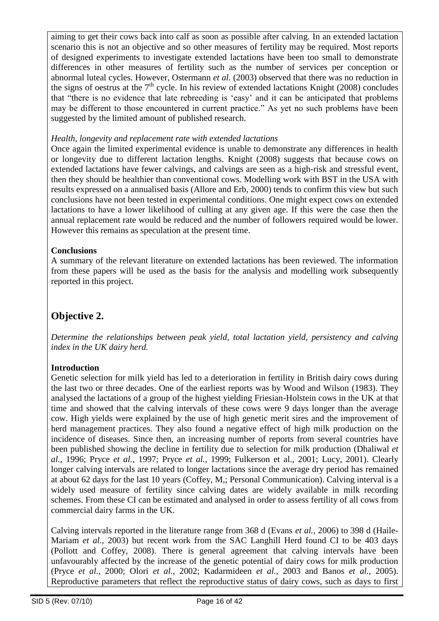aiming to get their cows back into calf as soon as possible after calving. In an extended lactation scenario this is not an objective and so other measures of fertility may be required. Most reports of designed experiments to investigate extended lactations have been too small to demonstrate differences in other measures of fertility such as the number of services per conception or abnormal luteal cycles. However, Ostermann *et al.* (2003) observed that there was no reduction in the signs of oestrus at the  $7<sup>th</sup>$  cycle. In his review of extended lactations Knight (2008) concludes that "there is no evidence that late rebreeding is "easy" and it can be anticipated that problems may be different to those encountered in current practice." As yet no such problems have been suggested by the limited amount of published research.

#### *Health, longevity and replacement rate with extended lactations*

Once again the limited experimental evidence is unable to demonstrate any differences in health or longevity due to different lactation lengths. Knight (2008) suggests that because cows on extended lactations have fewer calvings, and calvings are seen as a high-risk and stressful event, then they should be healthier than conventional cows. Modelling work with BST in the USA with results expressed on a annualised basis (Allore and Erb, 2000) tends to confirm this view but such conclusions have not been tested in experimental conditions. One might expect cows on extended lactations to have a lower likelihood of culling at any given age. If this were the case then the annual replacement rate would be reduced and the number of followers required would be lower. However this remains as speculation at the present time.

#### **Conclusions**

A summary of the relevant literature on extended lactations has been reviewed. The information from these papers will be used as the basis for the analysis and modelling work subsequently reported in this project.

# **Objective 2.**

*Determine the relationships between peak yield, total lactation yield, persistency and calving index in the UK dairy herd.* 

#### **Introduction**

Genetic selection for milk yield has led to a deterioration in fertility in British dairy cows during the last two or three decades. One of the earliest reports was by Wood and Wilson (1983). They analysed the lactations of a group of the highest yielding Friesian-Holstein cows in the UK at that time and showed that the calving intervals of these cows were 9 days longer than the average cow. High yields were explained by the use of high genetic merit sires and the improvement of herd management practices. They also found a negative effect of high milk production on the incidence of diseases. Since then, an increasing number of reports from several countries have been published showing the decline in fertility due to selection for milk production (Dhaliwal *et al.*, 1996; Pryce *et al.*, 1997; Pryce *et al.*, 1999; Fulkerson et al., 2001; Lucy, 2001). Clearly longer calving intervals are related to longer lactations since the average dry period has remained at about 62 days for the last 10 years (Coffey, M,; Personal Communication). Calving interval is a widely used measure of fertility since calving dates are widely available in milk recording schemes. From these CI can be estimated and analysed in order to assess fertility of all cows from commercial dairy farms in the UK.

Calving intervals reported in the literature range from 368 d (Evans *et al.,* 2006) to 398 d (Haile-Mariam *et al.,* 2003) but recent work from the SAC Langhill Herd found CI to be 403 days (Pollott and Coffey, 2008). There is general agreement that calving intervals have been unfavourably affected by the increase of the genetic potential of dairy cows for milk production (Pryce *et al.,* 2000; Olori *et al.,* 2002; Kadarmideen *et al.,* 2003 and Banos *et al.,* 2005). Reproductive parameters that reflect the reproductive status of dairy cows, such as days to first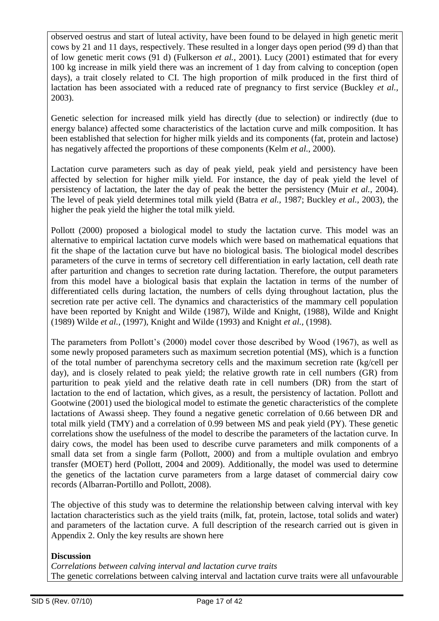observed oestrus and start of luteal activity, have been found to be delayed in high genetic merit cows by 21 and 11 days, respectively. These resulted in a longer days open period (99 d) than that of low genetic merit cows (91 d) (Fulkerson *et al.,* 2001). Lucy (2001) estimated that for every 100 kg increase in milk yield there was an increment of 1 day from calving to conception (open days), a trait closely related to CI. The high proportion of milk produced in the first third of lactation has been associated with a reduced rate of pregnancy to first service (Buckley *et al.,* 2003).

Genetic selection for increased milk yield has directly (due to selection) or indirectly (due to energy balance) affected some characteristics of the lactation curve and milk composition. It has been established that selection for higher milk yields and its components (fat, protein and lactose) has negatively affected the proportions of these components (Kelm *et al.*, 2000).

Lactation curve parameters such as day of peak yield, peak yield and persistency have been affected by selection for higher milk yield. For instance, the day of peak yield the level of persistency of lactation, the later the day of peak the better the persistency (Muir *et al.,* 2004). The level of peak yield determines total milk yield (Batra *et al.,* 1987; Buckley *et al.,* 2003), the higher the peak yield the higher the total milk yield.

Pollott (2000) proposed a biological model to study the lactation curve. This model was an alternative to empirical lactation curve models which were based on mathematical equations that fit the shape of the lactation curve but have no biological basis. The biological model describes parameters of the curve in terms of secretory cell differentiation in early lactation, cell death rate after parturition and changes to secretion rate during lactation. Therefore, the output parameters from this model have a biological basis that explain the lactation in terms of the number of differentiated cells during lactation, the numbers of cells dying throughout lactation, plus the secretion rate per active cell. The dynamics and characteristics of the mammary cell population have been reported by Knight and Wilde (1987), Wilde and Knight, (1988), Wilde and Knight (1989) Wilde *et al.,* (1997), Knight and Wilde (1993) and Knight *et al.,* (1998).

The parameters from Pollott's (2000) model cover those described by Wood (1967), as well as some newly proposed parameters such as maximum secretion potential (MS), which is a function of the total number of parenchyma secretory cells and the maximum secretion rate (kg/cell per day), and is closely related to peak yield; the relative growth rate in cell numbers (GR) from parturition to peak yield and the relative death rate in cell numbers (DR) from the start of lactation to the end of lactation, which gives, as a result, the persistency of lactation. Pollott and Gootwine (2001) used the biological model to estimate the genetic characteristics of the complete lactations of Awassi sheep. They found a negative genetic correlation of 0.66 between DR and total milk yield (TMY) and a correlation of 0.99 between MS and peak yield (PY). These genetic correlations show the usefulness of the model to describe the parameters of the lactation curve. In dairy cows, the model has been used to describe curve parameters and milk components of a small data set from a single farm (Pollott, 2000) and from a multiple ovulation and embryo transfer (MOET) herd (Pollott, 2004 and 2009). Additionally, the model was used to determine the genetics of the lactation curve parameters from a large dataset of commercial dairy cow records (Albarran-Portillo and Pollott, 2008).

The objective of this study was to determine the relationship between calving interval with key lactation characteristics such as the yield traits (milk, fat, protein, lactose, total solids and water) and parameters of the lactation curve. A full description of the research carried out is given in Appendix 2. Only the key results are shown here

#### **Discussion**

*Correlations between calving interval and lactation curve traits* The genetic correlations between calving interval and lactation curve traits were all unfavourable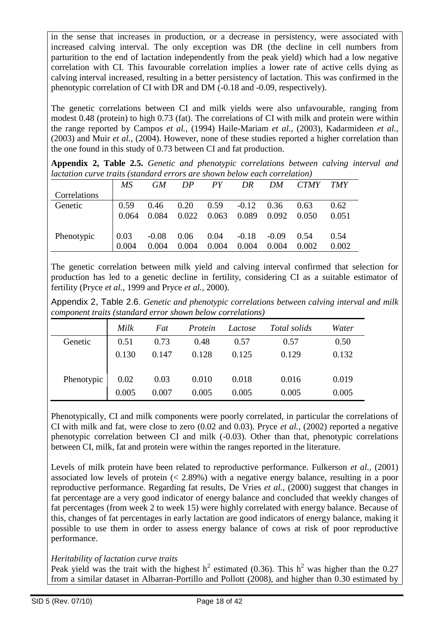in the sense that increases in production, or a decrease in persistency, were associated with increased calving interval. The only exception was DR (the decline in cell numbers from parturition to the end of lactation independently from the peak yield) which had a low negative correlation with CI. This favourable correlation implies a lower rate of active cells dying as calving interval increased, resulting in a better persistency of lactation. This was confirmed in the phenotypic correlation of CI with DR and DM (-0.18 and -0.09, respectively).

The genetic correlations between CI and milk yields were also unfavourable, ranging from modest 0.48 (protein) to high 0.73 (fat). The correlations of CI with milk and protein were within the range reported by Campos *et al.,* (1994) Haile-Mariam *et al.,* (2003), Kadarmideen *et al.,* (2003) and Muir *et al.,* (2004). However, none of these studies reported a higher correlation than the one found in this study of 0.73 between CI and fat production.

| Appendix 2, Table 2.5. Genetic and phenotypic correlations between calving interval and |  |  |  |  |
|-----------------------------------------------------------------------------------------|--|--|--|--|
| <i>lactation curve traits (standard errors are shown below each correlation)</i>        |  |  |  |  |

|              | MS    | <b>GM</b> | DP    | PY    | DR      | DM      | <b>CTMY</b> | <b>TMY</b> |
|--------------|-------|-----------|-------|-------|---------|---------|-------------|------------|
| Correlations |       |           |       |       |         |         |             |            |
| Genetic      | 0.59  | 0.46      | 0.20  | 0.59  | $-0.12$ | 0.36    | 0.63        | 0.62       |
|              | 0.064 | 0.084     | 0.022 | 0.063 | 0.089   | 0.092   | 0.050       | 0.051      |
|              |       |           |       |       |         |         |             |            |
| Phenotypic   | 0.03  | $-0.08$   | 0.06  | 0.04  | $-0.18$ | $-0.09$ | 0.54        | 0.54       |
|              | 0.004 | 0.004     | 0.004 | 0.004 | 0.004   | 0.004   | 0.002       | 0.002      |

The genetic correlation between milk yield and calving interval confirmed that selection for production has led to a genetic decline in fertility, considering CI as a suitable estimator of fertility (Pryce *et al.,* 1999 and Pryce *et al.,* 2000).

Appendix 2, Table 2.6. *Genetic and phenotypic correlations between calving interval and milk component traits (standard error shown below correlations)*

|            | Milk  | Fat   | Protein | Lactose | Total solids | Water |
|------------|-------|-------|---------|---------|--------------|-------|
| Genetic    | 0.51  | 0.73  | 0.48    | 0.57    | 0.57         | 0.50  |
|            | 0.130 | 0.147 | 0.128   | 0.125   | 0.129        | 0.132 |
| Phenotypic | 0.02  | 0.03  | 0.010   | 0.018   | 0.016        | 0.019 |
|            | 0.005 | 0.007 | 0.005   | 0.005   | 0.005        | 0.005 |

Phenotypically, CI and milk components were poorly correlated, in particular the correlations of CI with milk and fat, were close to zero (0.02 and 0.03). Pryce *et al.,* (2002) reported a negative phenotypic correlation between CI and milk (-0.03). Other than that, phenotypic correlations between CI, milk, fat and protein were within the ranges reported in the literature.

Levels of milk protein have been related to reproductive performance. Fulkerson *et al.,* (2001) associated low levels of protein (< 2.89%) with a negative energy balance, resulting in a poor reproductive performance. Regarding fat results, De Vries *et al.,* (2000) suggest that changes in fat percentage are a very good indicator of energy balance and concluded that weekly changes of fat percentages (from week 2 to week 15) were highly correlated with energy balance. Because of this, changes of fat percentages in early lactation are good indicators of energy balance, making it possible to use them in order to assess energy balance of cows at risk of poor reproductive performance.

#### *Heritability of lactation curve traits*

Peak yield was the trait with the highest  $h^2$  estimated (0.36). This  $h^2$  was higher than the 0.27 from a similar dataset in Albarran-Portillo and Pollott (2008), and higher than 0.30 estimated by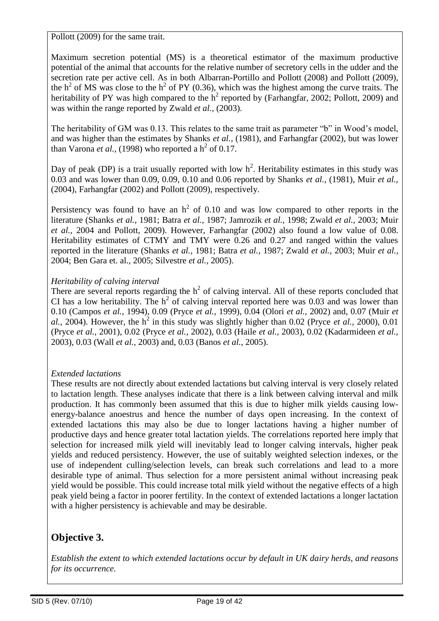Pollott (2009) for the same trait.

Maximum secretion potential (MS) is a theoretical estimator of the maximum productive potential of the animal that accounts for the relative number of secretory cells in the udder and the secretion rate per active cell. As in both Albarran-Portillo and Pollott (2008) and Pollott (2009), the  $h^2$  of MS was close to the  $h^2$  of PY (0.36), which was the highest among the curve traits. The heritability of PY was high compared to the  $h^2$  reported by (Farhangfar, 2002; Pollott, 2009) and was within the range reported by Zwald *et al.,* (2003).

The heritability of GM was 0.13. This relates to the same trait as parameter "b" in Wood"s model, and was higher than the estimates by Shanks *et al.,* (1981), and Farhangfar (2002), but was lower than Varona *et al.*, (1998) who reported a  $h^2$  of 0.17.

Day of peak (DP) is a trait usually reported with low  $h^2$ . Heritability estimates in this study was 0.03 and was lower than 0.09, 0.09, 0.10 and 0.06 reported by Shanks *et al.,* (1981), Muir *et al.,* (2004), Farhangfar (2002) and Pollott (2009), respectively.

Persistency was found to have an  $h^2$  of 0.10 and was low compared to other reports in the literature (Shanks *et al.,* 1981; Batra *et al.,* 1987; Jamrozik *et al.,* 1998; Zwald *et al.,* 2003; Muir *et al.,* 2004 and Pollott, 2009). However, Farhangfar (2002) also found a low value of 0.08. Heritability estimates of CTMY and TMY were 0.26 and 0.27 and ranged within the values reported in the literature (Shanks *et al.,* 1981; Batra *et al.,* 1987; Zwald *et al.,* 2003; Muir *et al.,* 2004; Ben Gara et. al., 2005; Silvestre *et al.,* 2005).

#### *Heritability of calving interval*

There are several reports regarding the  $h^2$  of calving interval. All of these reports concluded that CI has a low heritability. The  $h^2$  of calving interval reported here was 0.03 and was lower than 0.10 (Campos *et al.,* 1994), 0.09 (Pryce *et al.,* 1999), 0.04 (Olori *et al.,* 2002) and, 0.07 (Muir *et*   $al.$ , 2004). However, the  $h^2$  in this study was slightly higher than 0.02 (Pryce *et al.*, 2000), 0.01 (Pryce *et al.,* 2001), 0.02 (Pryce *et al.,* 2002), 0.03 (Haile *et al.,* 2003), 0.02 (Kadarmideen *et al.,* 2003), 0.03 (Wall *et al.,* 2003) and, 0.03 (Banos *et al.,* 2005).

#### *Extended lactations*

These results are not directly about extended lactations but calving interval is very closely related to lactation length. These analyses indicate that there is a link between calving interval and milk production. It has commonly been assumed that this is due to higher milk yields causing lowenergy-balance anoestrus and hence the number of days open increasing. In the context of extended lactations this may also be due to longer lactations having a higher number of productive days and hence greater total lactation yields. The correlations reported here imply that selection for increased milk yield will inevitably lead to longer calving intervals, higher peak yields and reduced persistency. However, the use of suitably weighted selection indexes, or the use of independent culling/selection levels, can break such correlations and lead to a more desirable type of animal. Thus selection for a more persistent animal without increasing peak yield would be possible. This could increase total milk yield without the negative effects of a high peak yield being a factor in poorer fertility. In the context of extended lactations a longer lactation with a higher persistency is achievable and may be desirable.

# **Objective 3.**

*Establish the extent to which extended lactations occur by default in UK dairy herds, and reasons for its occurrence.*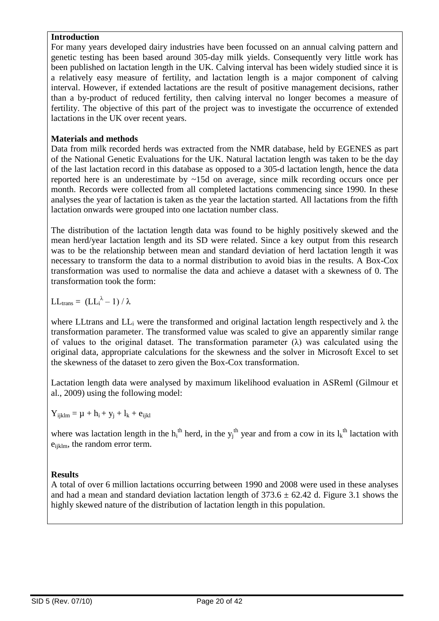#### **Introduction**

For many years developed dairy industries have been focussed on an annual calving pattern and genetic testing has been based around 305-day milk yields. Consequently very little work has been published on lactation length in the UK. Calving interval has been widely studied since it is a relatively easy measure of fertility, and lactation length is a major component of calving interval. However, if extended lactations are the result of positive management decisions, rather than a by-product of reduced fertility, then calving interval no longer becomes a measure of fertility. The objective of this part of the project was to investigate the occurrence of extended lactations in the UK over recent years.

#### **Materials and methods**

Data from milk recorded herds was extracted from the NMR database, held by EGENES as part of the National Genetic Evaluations for the UK. Natural lactation length was taken to be the day of the last lactation record in this database as opposed to a 305-d lactation length, hence the data reported here is an underestimate by  $\sim$ 15d on average, since milk recording occurs once per month. Records were collected from all completed lactations commencing since 1990. In these analyses the year of lactation is taken as the year the lactation started. All lactations from the fifth lactation onwards were grouped into one lactation number class.

The distribution of the lactation length data was found to be highly positively skewed and the mean herd/year lactation length and its SD were related. Since a key output from this research was to be the relationship between mean and standard deviation of herd lactation length it was necessary to transform the data to a normal distribution to avoid bias in the results. A Box-Cox transformation was used to normalise the data and achieve a dataset with a skewness of 0. The transformation took the form:

$$
LL_{trans} = (LL_i^{\lambda} - 1) / \lambda
$$

where LLtrans and  $LL_i$  were the transformed and original lactation length respectively and  $\lambda$  the transformation parameter. The transformed value was scaled to give an apparently similar range of values to the original dataset. The transformation parameter  $(\lambda)$  was calculated using the original data, appropriate calculations for the skewness and the solver in Microsoft Excel to set the skewness of the dataset to zero given the Box-Cox transformation.

Lactation length data were analysed by maximum likelihood evaluation in ASReml (Gilmour et al., 2009) using the following model:

 $Y_{ijklm} = \mu + h_i + y_j + l_k + e_{ijkl}$ 

where was lactation length in the  $h_i^{\text{th}}$  herd, in the  $y_j^{\text{th}}$  year and from a cow in its  $l_k^{\text{th}}$  lactation with e<sub>ijklm</sub>, the random error term.

#### **Results**

A total of over 6 million lactations occurring between 1990 and 2008 were used in these analyses and had a mean and standard deviation lactation length of  $373.6 \pm 62.42$  d. Figure 3.1 shows the highly skewed nature of the distribution of lactation length in this population.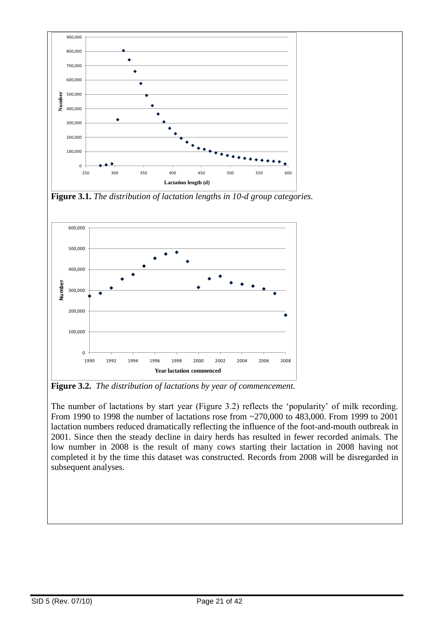

**Figure 3.1.** *The distribution of lactation lengths in 10-d group categories.*



**Figure 3.2.** *The distribution of lactations by year of commencement.*

The number of lactations by start year (Figure 3.2) reflects the "popularity" of milk recording. From 1990 to 1998 the number of lactations rose from ~270,000 to 483,000. From 1999 to 2001 lactation numbers reduced dramatically reflecting the influence of the foot-and-mouth outbreak in 2001. Since then the steady decline in dairy herds has resulted in fewer recorded animals. The low number in 2008 is the result of many cows starting their lactation in 2008 having not completed it by the time this dataset was constructed. Records from 2008 will be disregarded in subsequent analyses.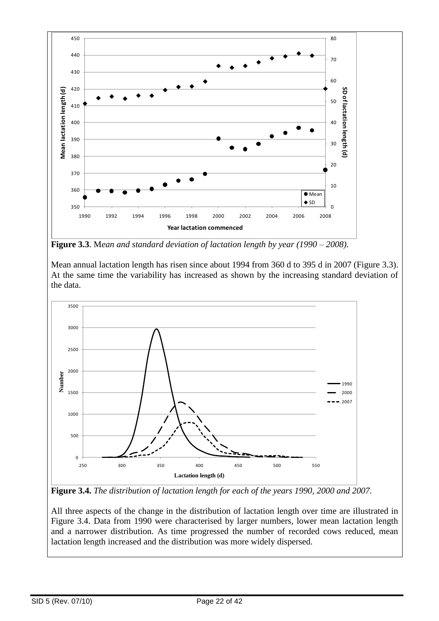

**Figure 3.3**. M*ean and standard deviation of lactation length by year (1990 – 2008).*

Mean annual lactation length has risen since about 1994 from 360 d to 395 d in 2007 (Figure 3.3). At the same time the variability has increased as shown by the increasing standard deviation of the data.



**Figure 3.4.** *The distribution of lactation length for each of the years 1990, 2000 and 2007.*

All three aspects of the change in the distribution of lactation length over time are illustrated in Figure 3.4. Data from 1990 were characterised by larger numbers, lower mean lactation length and a narrower distribution. As time progressed the number of recorded cows reduced, mean lactation length increased and the distribution was more widely dispersed.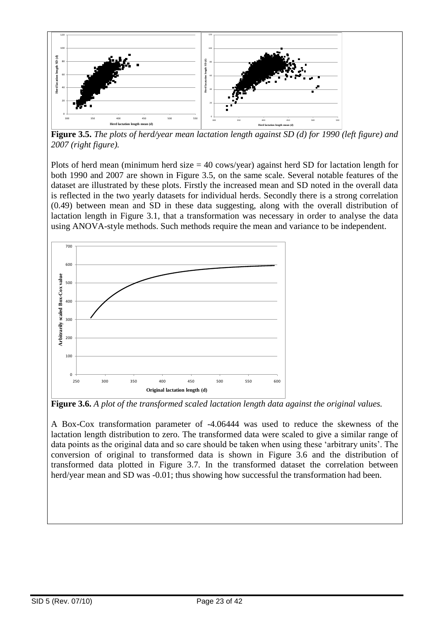

**Figure 3.5.** *The plots of herd/year mean lactation length against SD (d) for 1990 (left figure) and 2007 (right figure).*

Plots of herd mean (minimum herd size  $= 40$  cows/year) against herd SD for lactation length for both 1990 and 2007 are shown in Figure 3.5, on the same scale. Several notable features of the dataset are illustrated by these plots. Firstly the increased mean and SD noted in the overall data is reflected in the two yearly datasets for individual herds. Secondly there is a strong correlation (0.49) between mean and SD in these data suggesting, along with the overall distribution of lactation length in Figure 3.1, that a transformation was necessary in order to analyse the data using ANOVA-style methods. Such methods require the mean and variance to be independent.



**Figure 3.6.** *A plot of the transformed scaled lactation length data against the original values.*

A Box-Cox transformation parameter of -4.06444 was used to reduce the skewness of the lactation length distribution to zero. The transformed data were scaled to give a similar range of data points as the original data and so care should be taken when using these "arbitrary units". The conversion of original to transformed data is shown in Figure 3.6 and the distribution of transformed data plotted in Figure 3.7. In the transformed dataset the correlation between herd/year mean and SD was -0.01; thus showing how successful the transformation had been.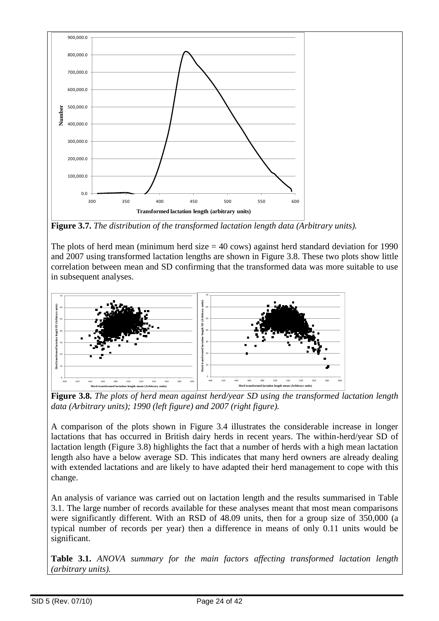

**Figure 3.7.** *The distribution of the transformed lactation length data (Arbitrary units).*

The plots of herd mean (minimum herd size  $=$  40 cows) against herd standard deviation for 1990 and 2007 using transformed lactation lengths are shown in Figure 3.8. These two plots show little correlation between mean and SD confirming that the transformed data was more suitable to use in subsequent analyses.



**Figure 3.8.** *The plots of herd mean against herd/year SD using the transformed lactation length data (Arbitrary units); 1990 (left figure) and 2007 (right figure).*

A comparison of the plots shown in Figure 3.4 illustrates the considerable increase in longer lactations that has occurred in British dairy herds in recent years. The within-herd/year SD of lactation length (Figure 3.8) highlights the fact that a number of herds with a high mean lactation length also have a below average SD. This indicates that many herd owners are already dealing with extended lactations and are likely to have adapted their herd management to cope with this change.

An analysis of variance was carried out on lactation length and the results summarised in Table 3.1. The large number of records available for these analyses meant that most mean comparisons were significantly different. With an RSD of 48.09 units, then for a group size of 350,000 (a typical number of records per year) then a difference in means of only 0.11 units would be significant.

**Table 3.1.** *ANOVA summary for the main factors affecting transformed lactation length (arbitrary units).*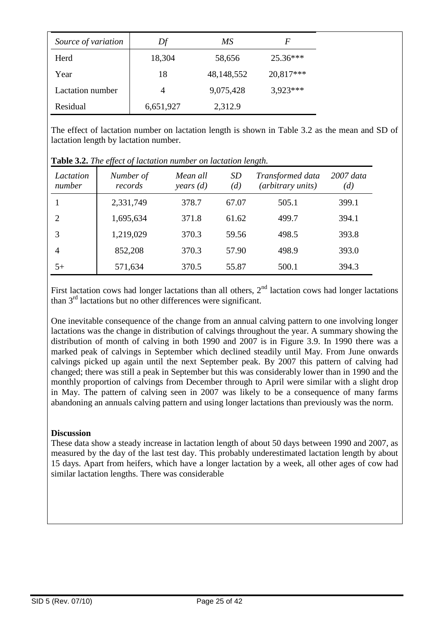| Source of variation | Df        | МS         | F          |
|---------------------|-----------|------------|------------|
| Herd                | 18,304    | 58,656     | $25.36***$ |
| Year                | 18        | 48,148,552 | 20,817***  |
| Lactation number    |           | 9,075,428  | $3.923***$ |
| Residual            | 6,651,927 | 2,312.9    |            |

The effect of lactation number on lactation length is shown in Table 3.2 as the mean and SD of lactation length by lactation number.

| Lactation<br>number | Number of<br>records | Mean all<br>years $(d)$ | <i>SD</i><br>(d) | Transformed data<br>(arbitrary units) | $2007$ data<br>(d) |
|---------------------|----------------------|-------------------------|------------------|---------------------------------------|--------------------|
|                     | 2,331,749            | 378.7                   | 67.07            | 505.1                                 | 399.1              |
| $\overline{2}$      | 1,695,634            | 371.8                   | 61.62            | 499.7                                 | 394.1              |
| 3                   | 1,219,029            | 370.3                   | 59.56            | 498.5                                 | 393.8              |
| 4                   | 852,208              | 370.3                   | 57.90            | 498.9                                 | 393.0              |
| $5+$                | 571,634              | 370.5                   | 55.87            | 500.1                                 | 394.3              |

**Table 3.2.** *The effect of lactation number on lactation length.*

First lactation cows had longer lactations than all others,  $2<sup>nd</sup>$  lactation cows had longer lactations than 3rd lactations but no other differences were significant.

One inevitable consequence of the change from an annual calving pattern to one involving longer lactations was the change in distribution of calvings throughout the year. A summary showing the distribution of month of calving in both 1990 and 2007 is in Figure 3.9. In 1990 there was a marked peak of calvings in September which declined steadily until May. From June onwards calvings picked up again until the next September peak. By 2007 this pattern of calving had changed; there was still a peak in September but this was considerably lower than in 1990 and the monthly proportion of calvings from December through to April were similar with a slight drop in May. The pattern of calving seen in 2007 was likely to be a consequence of many farms abandoning an annuals calving pattern and using longer lactations than previously was the norm.

#### **Discussion**

These data show a steady increase in lactation length of about 50 days between 1990 and 2007, as measured by the day of the last test day. This probably underestimated lactation length by about 15 days. Apart from heifers, which have a longer lactation by a week, all other ages of cow had similar lactation lengths. There was considerable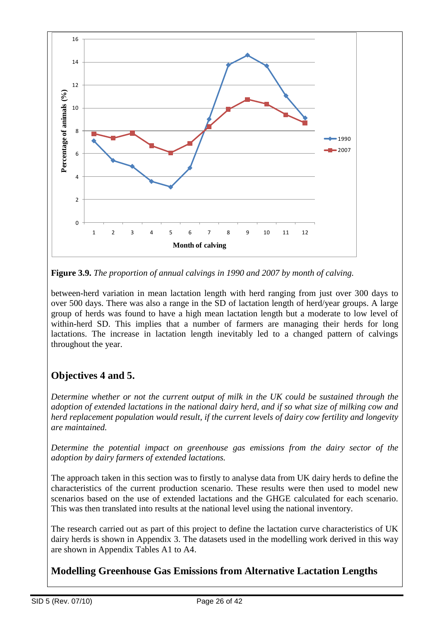

**Figure 3.9.** *The proportion of annual calvings in 1990 and 2007 by month of calving.*

between-herd variation in mean lactation length with herd ranging from just over 300 days to over 500 days. There was also a range in the SD of lactation length of herd/year groups. A large group of herds was found to have a high mean lactation length but a moderate to low level of within-herd SD. This implies that a number of farmers are managing their herds for long lactations. The increase in lactation length inevitably led to a changed pattern of calvings throughout the year.

# **Objectives 4 and 5.**

*Determine whether or not the current output of milk in the UK could be sustained through the adoption of extended lactations in the national dairy herd, and if so what size of milking cow and herd replacement population would result, if the current levels of dairy cow fertility and longevity are maintained.* 

*Determine the potential impact on greenhouse gas emissions from the dairy sector of the adoption by dairy farmers of extended lactations.*

The approach taken in this section was to firstly to analyse data from UK dairy herds to define the characteristics of the current production scenario. These results were then used to model new scenarios based on the use of extended lactations and the GHGE calculated for each scenario. This was then translated into results at the national level using the national inventory.

The research carried out as part of this project to define the lactation curve characteristics of UK dairy herds is shown in Appendix 3. The datasets used in the modelling work derived in this way are shown in Appendix Tables A1 to A4.

# **Modelling Greenhouse Gas Emissions from Alternative Lactation Lengths**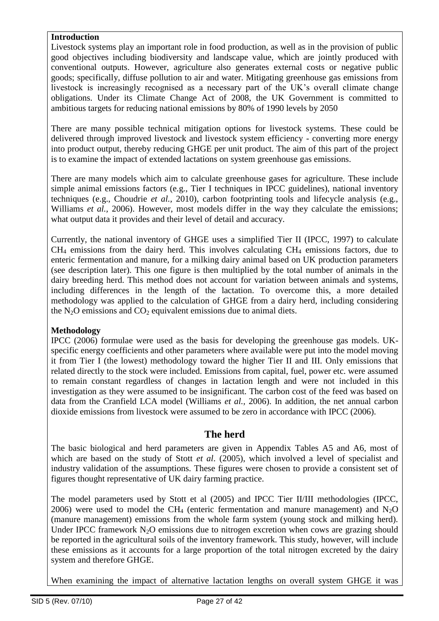#### **Introduction**

Livestock systems play an important role in food production, as well as in the provision of public good objectives including biodiversity and landscape value, which are jointly produced with conventional outputs. However, agriculture also generates external costs or negative public goods; specifically, diffuse pollution to air and water. Mitigating greenhouse gas emissions from livestock is increasingly recognised as a necessary part of the UK"s overall climate change obligations. Under its Climate Change Act of 2008, the UK Government is committed to ambitious targets for reducing national emissions by 80% of 1990 levels by 2050

There are many possible technical mitigation options for livestock systems. These could be delivered through improved livestock and livestock system efficiency - converting more energy into product output, thereby reducing GHGE per unit product. The aim of this part of the project is to examine the impact of extended lactations on system greenhouse gas emissions.

There are many models which aim to calculate greenhouse gases for agriculture. These include simple animal emissions factors (e.g., Tier I techniques in IPCC guidelines), national inventory techniques (e.g., Choudrie *et al.,* 2010), carbon footprinting tools and lifecycle analysis (e.g., Williams *et al.*, 2006). However, most models differ in the way they calculate the emissions; what output data it provides and their level of detail and accuracy.

Currently, the national inventory of GHGE uses a simplified Tier II (IPCC, 1997) to calculate  $CH<sub>4</sub>$  emissions from the dairy herd. This involves calculating  $CH<sub>4</sub>$  emissions factors, due to enteric fermentation and manure, for a milking dairy animal based on UK production parameters (see description later). This one figure is then multiplied by the total number of animals in the dairy breeding herd. This method does not account for variation between animals and systems, including differences in the length of the lactation. To overcome this, a more detailed methodology was applied to the calculation of GHGE from a dairy herd, including considering the  $N<sub>2</sub>O$  emissions and  $CO<sub>2</sub>$  equivalent emissions due to animal diets.

#### **Methodology**

IPCC (2006) formulae were used as the basis for developing the greenhouse gas models. UKspecific energy coefficients and other parameters where available were put into the model moving it from Tier I (the lowest) methodology toward the higher Tier II and III. Only emissions that related directly to the stock were included. Emissions from capital, fuel, power etc. were assumed to remain constant regardless of changes in lactation length and were not included in this investigation as they were assumed to be insignificant. The carbon cost of the feed was based on data from the Cranfield LCA model (Williams *et al.,* 2006). In addition, the net annual carbon dioxide emissions from livestock were assumed to be zero in accordance with IPCC (2006).

#### **The herd**

The basic biological and herd parameters are given in Appendix Tables A5 and A6, most of which are based on the study of Stott *et al*. (2005), which involved a level of specialist and industry validation of the assumptions. These figures were chosen to provide a consistent set of figures thought representative of UK dairy farming practice.

The model parameters used by Stott et al (2005) and IPCC Tier II/III methodologies (IPCC, 2006) were used to model the CH<sub>4</sub> (enteric fermentation and manure management) and  $N_2O$ (manure management) emissions from the whole farm system (young stock and milking herd). Under IPCC framework  $N_2O$  emissions due to nitrogen excretion when cows are grazing should be reported in the agricultural soils of the inventory framework. This study, however, will include these emissions as it accounts for a large proportion of the total nitrogen excreted by the dairy system and therefore GHGE.

When examining the impact of alternative lactation lengths on overall system GHGE it was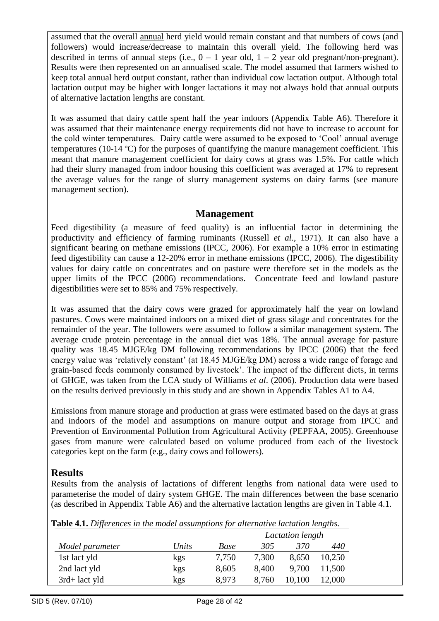assumed that the overall annual herd yield would remain constant and that numbers of cows (and followers) would increase/decrease to maintain this overall yield. The following herd was described in terms of annual steps (i.e.,  $0 - 1$  year old,  $1 - 2$  year old pregnant/non-pregnant). Results were then represented on an annualised scale. The model assumed that farmers wished to keep total annual herd output constant, rather than individual cow lactation output. Although total lactation output may be higher with longer lactations it may not always hold that annual outputs of alternative lactation lengths are constant.

It was assumed that dairy cattle spent half the year indoors (Appendix Table A6). Therefore it was assumed that their maintenance energy requirements did not have to increase to account for the cold winter temperatures. Dairy cattle were assumed to be exposed to "Cool" annual average temperatures (10-14 ºC) for the purposes of quantifying the manure management coefficient. This meant that manure management coefficient for dairy cows at grass was 1.5%. For cattle which had their slurry managed from indoor housing this coefficient was averaged at 17% to represent the average values for the range of slurry management systems on dairy farms (see manure management section).

### **Management**

Feed digestibility (a measure of feed quality) is an influential factor in determining the productivity and efficiency of farming ruminants (Russell *et al.*, 1971). It can also have a significant bearing on methane emissions (IPCC, 2006). For example a 10% error in estimating feed digestibility can cause a 12-20% error in methane emissions (IPCC, 2006). The digestibility values for dairy cattle on concentrates and on pasture were therefore set in the models as the upper limits of the IPCC (2006) recommendations. Concentrate feed and lowland pasture digestibilities were set to 85% and 75% respectively.

It was assumed that the dairy cows were grazed for approximately half the year on lowland pastures. Cows were maintained indoors on a mixed diet of grass silage and concentrates for the remainder of the year. The followers were assumed to follow a similar management system. The average crude protein percentage in the annual diet was 18%. The annual average for pasture quality was 18.45 MJGE/kg DM following recommendations by IPCC (2006) that the feed energy value was 'relatively constant' (at 18.45 MJGE/kg DM) across a wide range of forage and grain-based feeds commonly consumed by livestock". The impact of the different diets, in terms of GHGE, was taken from the LCA study of Williams *et al*. (2006). Production data were based on the results derived previously in this study and are shown in Appendix Tables A1 to A4.

Emissions from manure storage and production at grass were estimated based on the days at grass and indoors of the model and assumptions on manure output and storage from IPCC and Prevention of Environmental Pollution from Agricultural Activity (PEPFAA, 2005). Greenhouse gases from manure were calculated based on volume produced from each of the livestock categories kept on the farm (e.g., dairy cows and followers).

### **Results**

Results from the analysis of lactations of different lengths from national data were used to parameterise the model of dairy system GHGE. The main differences between the base scenario (as described in Appendix Table A6) and the alternative lactation lengths are given in Table 4.1.

| Table 4.1. Differences in the model assumptions for alternative lactation lengths. |  |
|------------------------------------------------------------------------------------|--|
|------------------------------------------------------------------------------------|--|

|                  |       |       | Lactation length |        |        |
|------------------|-------|-------|------------------|--------|--------|
| Model parameter  | Units | Base  | 305              | 370    | 440    |
| 1st lact yld     | kgs   | 7,750 | 7,300            | 8,650  | 10,250 |
| 2nd lact yld     | kgs   | 8,605 | 8,400            | 9.700  | 11,500 |
| $3rd$ + lact yld | kgs   | 8.973 | 8,760            | 10,100 | 12,000 |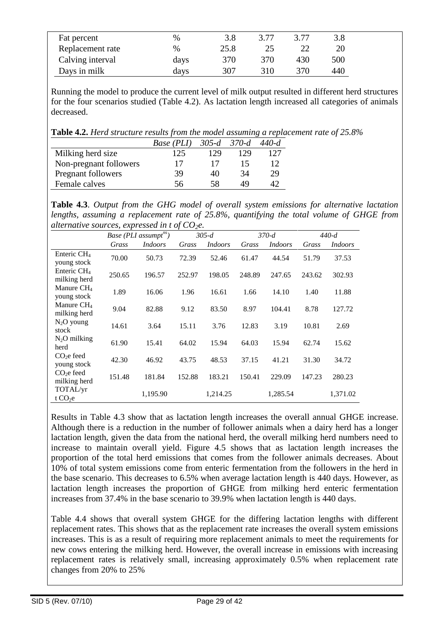| Fat percent      | %    | 3.8  | 3.77 | 3.77 | 3.8 |  |
|------------------|------|------|------|------|-----|--|
| Replacement rate | %    | 25.8 |      |      | 20  |  |
| Calving interval | days | 370  | 370  | 430  | 500 |  |
| Days in milk     | days | 307  | 310  | 370  | 440 |  |

Running the model to produce the current level of milk output resulted in different herd structures for the four scenarios studied (Table 4.2). As lactation length increased all categories of animals decreased.

**Table 4.2.** *Herd structure results from the model assuming a replacement rate of 25.8%*

|                        | Base (PLI) | $305 - d$ | $370-d$ | $440 - d$ |
|------------------------|------------|-----------|---------|-----------|
| Milking herd size      | 125        | 129       | 129     | 127       |
| Non-pregnant followers | 17         | 17        | 15      | 12        |
| Pregnant followers     | 39         | 40        | 34      | 29        |
| Female calves          | 56         | 58        | 49      |           |
|                        |            |           |         |           |

**Table 4.3**. *Output from the GHG model of overall system emissions for alternative lactation lengths, assuming a replacement rate of 25.8%, quantifying the total volume of GHGE from alternative sources, expressed in t of CO2e.*

|                               |        | Base (PLI assumpt <sup>ns</sup> ) |        | $305 - d$      |        | $370-d$        |        | $440-d$        |
|-------------------------------|--------|-----------------------------------|--------|----------------|--------|----------------|--------|----------------|
|                               | Grass  | <i>Indoors</i>                    | Grass  | <i>Indoors</i> | Grass  | <i>Indoors</i> | Grass  | <i>Indoors</i> |
| Enteric $CH4$<br>young stock  | 70.00  | 50.73                             | 72.39  | 52.46          | 61.47  | 44.54          | 51.79  | 37.53          |
| Enteric $CH4$<br>milking herd | 250.65 | 196.57                            | 252.97 | 198.05         | 248.89 | 247.65         | 243.62 | 302.93         |
| Manure $CH4$<br>young stock   | 1.89   | 16.06                             | 1.96   | 16.61          | 1.66   | 14.10          | 1.40   | 11.88          |
| Manure $CH4$<br>milking herd  | 9.04   | 82.88                             | 9.12   | 83.50          | 8.97   | 104.41         | 8.78   | 127.72         |
| $N_2O$ young<br>stock         | 14.61  | 3.64                              | 15.11  | 3.76           | 12.83  | 3.19           | 10.81  | 2.69           |
| $N_2O$ milking<br>herd        | 61.90  | 15.41                             | 64.02  | 15.94          | 64.03  | 15.94          | 62.74  | 15.62          |
| $CO2e$ feed<br>young stock    | 42.30  | 46.92                             | 43.75  | 48.53          | 37.15  | 41.21          | 31.30  | 34.72          |
| $CO2$ e feed<br>milking herd  | 151.48 | 181.84                            | 152.88 | 183.21         | 150.41 | 229.09         | 147.23 | 280.23         |
| TOTAL/yr<br>t $CO2e$          |        | 1,195.90                          |        | 1,214.25       |        | 1,285.54       |        | 1,371.02       |

Results in Table 4.3 show that as lactation length increases the overall annual GHGE increase. Although there is a reduction in the number of follower animals when a dairy herd has a longer lactation length, given the data from the national herd, the overall milking herd numbers need to increase to maintain overall yield. Figure 4.5 shows that as lactation length increases the proportion of the total herd emissions that comes from the follower animals decreases. About 10% of total system emissions come from enteric fermentation from the followers in the herd in the base scenario. This decreases to 6.5% when average lactation length is 440 days. However, as lactation length increases the proportion of GHGE from milking herd enteric fermentation increases from 37.4% in the base scenario to 39.9% when lactation length is 440 days.

Table 4.4 shows that overall system GHGE for the differing lactation lengths with different replacement rates. This shows that as the replacement rate increases the overall system emissions increases. This is as a result of requiring more replacement animals to meet the requirements for new cows entering the milking herd. However, the overall increase in emissions with increasing replacement rates is relatively small, increasing approximately 0.5% when replacement rate changes from 20% to 25%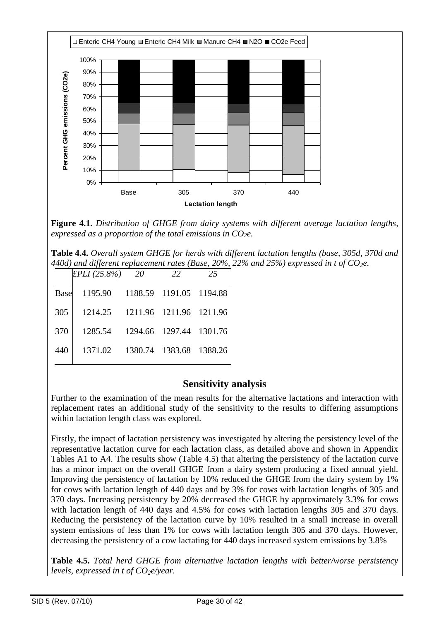

**Figure 4.1.** *Distribution of GHGE from dairy systems with different average lactation lengths, expressed as a proportion of the total emissions in CO2e.*

**Table 4.4.** *Overall system GHGE for herds with different lactation lengths (base, 305d, 370d and 440d) and different replacement rates (Base, 20%, 22% and 25%) expressed in t of CO2e.*

|         | - 20                        | 22 | 25                                                                                       |
|---------|-----------------------------|----|------------------------------------------------------------------------------------------|
| 1195.90 |                             |    |                                                                                          |
| 1214.25 |                             |    |                                                                                          |
| 1285.54 |                             |    |                                                                                          |
| 1371.02 | 1380.74                     |    | 1388.26                                                                                  |
|         | EPLI (25.8%)<br><b>Base</b> |    | 1188.59 1191.05 1194.88<br>1211.96 1211.96 1211.96<br>1294.66 1297.44 1301.76<br>1383.68 |

### **Sensitivity analysis**

Further to the examination of the mean results for the alternative lactations and interaction with replacement rates an additional study of the sensitivity to the results to differing assumptions within lactation length class was explored.

Firstly, the impact of lactation persistency was investigated by altering the persistency level of the representative lactation curve for each lactation class, as detailed above and shown in Appendix Tables A1 to A4. The results show (Table 4.5) that altering the persistency of the lactation curve has a minor impact on the overall GHGE from a dairy system producing a fixed annual yield. Improving the persistency of lactation by 10% reduced the GHGE from the dairy system by 1% for cows with lactation length of 440 days and by 3% for cows with lactation lengths of 305 and 370 days. Increasing persistency by 20% decreased the GHGE by approximately 3.3% for cows with lactation length of 440 days and 4.5% for cows with lactation lengths 305 and 370 days. Reducing the persistency of the lactation curve by 10% resulted in a small increase in overall system emissions of less than 1% for cows with lactation length 305 and 370 days. However, decreasing the persistency of a cow lactating for 440 days increased system emissions by 3.8%

**Table 4.5.** *Total herd GHGE from alternative lactation lengths with better/worse persistency levels, expressed in t of CO2e/year.*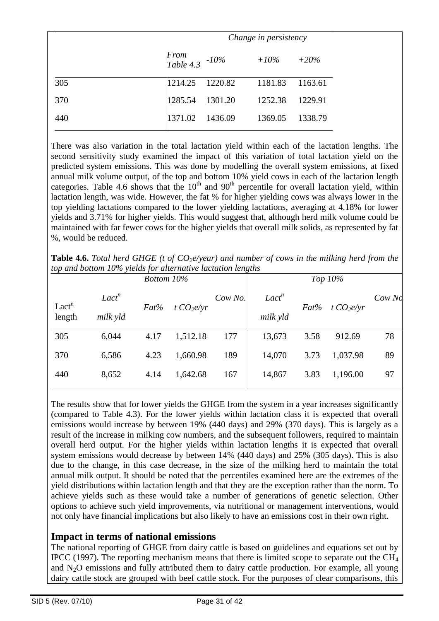|     |                               | Change in persistency |                         |         |  |  |
|-----|-------------------------------|-----------------------|-------------------------|---------|--|--|
|     | From<br>Table 4.3 $\cdot$ 10% |                       | $+10\%$                 | $+20\%$ |  |  |
| 305 |                               |                       | 1214.25 1220.82 1181.83 | 1163.61 |  |  |
| 370 | 1285.54                       | 1301.20               | 1252.38                 | 1229.91 |  |  |
| 440 | 1371.02                       | 1436.09               | 1369.05                 | 1338.79 |  |  |

There was also variation in the total lactation yield within each of the lactation lengths. The second sensitivity study examined the impact of this variation of total lactation yield on the predicted system emissions. This was done by modelling the overall system emissions, at fixed annual milk volume output, of the top and bottom 10% yield cows in each of the lactation length categories. Table 4.6 shows that the  $10^{th}$  and  $90^{th}$  percentile for overall lactation yield, within lactation length, was wide. However, the fat % for higher yielding cows was always lower in the top yielding lactations compared to the lower yielding lactations, averaging at 4.18% for lower yields and 3.71% for higher yields. This would suggest that, although herd milk volume could be maintained with far fewer cows for the higher yields that overall milk solids, as represented by fat %, would be reduced.

**Table 4.6.** *Total herd GHGE (t of CO2e/year) and number of cows in the milking herd from the top and bottom 10% yields for alternative lactation lengths*

|                   |                   | Bottom 10% |               |         |                   |         | Top $10\%$  |            |
|-------------------|-------------------|------------|---------------|---------|-------------------|---------|-------------|------------|
| Lact <sup>n</sup> | Lact <sup>n</sup> | $Fat\%$    | t $CO_2$ e/yr | Cow No. | Lact <sup>n</sup> | $Fat\%$ | t $CO2e/yr$ | $Cow\,$ No |
| length            | milk yld          |            |               |         | milk yld          |         |             |            |
| 305               | 6,044             | 4.17       | 1,512.18      | 177     | 13,673            | 3.58    | 912.69      | 78         |
| 370               | 6,586             | 4.23       | 1,660.98      | 189     | 14,070            | 3.73    | 1,037.98    | 89         |
| 440               | 8,652             | 4.14       | 1,642.68      | 167     | 14,867            | 3.83    | 1,196.00    | 97         |

The results show that for lower yields the GHGE from the system in a year increases significantly (compared to Table 4.3). For the lower yields within lactation class it is expected that overall emissions would increase by between 19% (440 days) and 29% (370 days). This is largely as a result of the increase in milking cow numbers, and the subsequent followers, required to maintain overall herd output. For the higher yields within lactation lengths it is expected that overall system emissions would decrease by between 14% (440 days) and 25% (305 days). This is also due to the change, in this case decrease, in the size of the milking herd to maintain the total annual milk output. It should be noted that the percentiles examined here are the extremes of the yield distributions within lactation length and that they are the exception rather than the norm. To achieve yields such as these would take a number of generations of genetic selection. Other options to achieve such yield improvements, via nutritional or management interventions, would not only have financial implications but also likely to have an emissions cost in their own right.

#### **Impact in terms of national emissions**

The national reporting of GHGE from dairy cattle is based on guidelines and equations set out by IPCC (1997). The reporting mechanism means that there is limited scope to separate out the  $CH<sub>4</sub>$ and  $N_2O$  emissions and fully attributed them to dairy cattle production. For example, all young dairy cattle stock are grouped with beef cattle stock. For the purposes of clear comparisons, this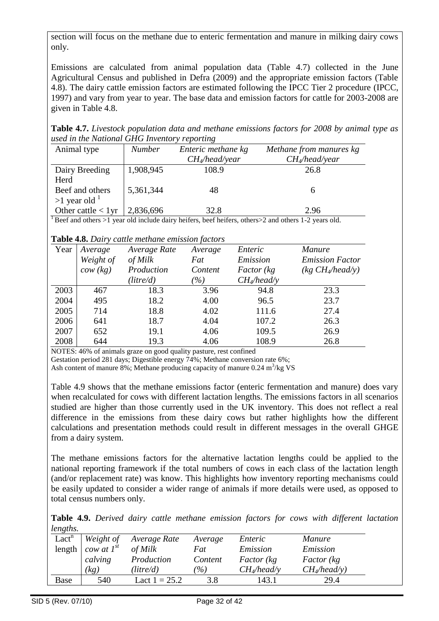section will focus on the methane due to enteric fermentation and manure in milking dairy cows only.

Emissions are calculated from animal population data (Table 4.7) collected in the June Agricultural Census and published in Defra (2009) and the appropriate emission factors (Table 4.8). The dairy cattle emission factors are estimated following the IPCC Tier 2 procedure (IPCC, 1997) and vary from year to year. The base data and emission factors for cattle for 2003-2008 are given in Table 4.8.

**Table 4.7.** *Livestock population data and methane emissions factors for 2008 by animal type as used in the National GHG Inventory reporting*

| Animal type           | <b>Number</b> | Enteric methane kg | Methane from manures kg |
|-----------------------|---------------|--------------------|-------------------------|
|                       |               | $CH_4$ /head/year  | $CH_4$ /head/year       |
| Dairy Breeding        | 1,908,945     | 108.9              | 26.8                    |
| Herd                  |               |                    |                         |
| Beef and others       | 5,361,344     | 48                 | <sub>6</sub>            |
| $>1$ year old $1$     |               |                    |                         |
| Other cattle $< 1$ yr | 2,836,696     | 32.8               | 2.96                    |

<sup>1</sup> Beef and others >1 year old include dairy heifers, beef heifers, others  $>$ 2 and others 1-2 years old.

#### **Table 4.8.** *Dairy cattle methane emission factors*

|      |                     | <b>Lable 4.0.</b> Duity canne membre emission factors |                           |                    |                              |
|------|---------------------|-------------------------------------------------------|---------------------------|--------------------|------------------------------|
| Year | Average             | Average Rate                                          | Average                   | Enteric            | <i>Manure</i>                |
|      | Weight of           | of Milk                                               | Fat                       | Emission           | <b>Emission Factor</b>       |
|      | $\textit{cow (kg)}$ | Production                                            | Content                   | <i>Factor</i> (kg) | (kg CH <sub>4</sub> /head/y) |
|      |                     | (litre/d)                                             | $\frac{\gamma}{\gamma_0}$ | $CH_4$ /head/y     |                              |
| 2003 | 467                 | 18.3                                                  | 3.96                      | 94.8               | 23.3                         |
| 2004 | 495                 | 18.2                                                  | 4.00                      | 96.5               | 23.7                         |
| 2005 | 714                 | 18.8                                                  | 4.02                      | 111.6              | 27.4                         |
| 2006 | 641                 | 18.7                                                  | 4.04                      | 107.2              | 26.3                         |
| 2007 | 652                 | 19.1                                                  | 4.06                      | 109.5              | 26.9                         |
| 2008 | 644                 | 19.3                                                  | 4.06                      | 108.9              | 26.8                         |

NOTES: 46% of animals graze on good quality pasture, rest confined

Gestation period 281 days; Digestible energy 74%; Methane conversion rate 6%;

Ash content of manure 8%; Methane producing capacity of manure  $0.24 \text{ m}^3/\text{kg VS}$ 

Table 4.9 shows that the methane emissions factor (enteric fermentation and manure) does vary when recalculated for cows with different lactation lengths. The emissions factors in all scenarios studied are higher than those currently used in the UK inventory. This does not reflect a real difference in the emissions from these dairy cows but rather highlights how the different calculations and presentation methods could result in different messages in the overall GHGE from a dairy system.

The methane emissions factors for the alternative lactation lengths could be applied to the national reporting framework if the total numbers of cows in each class of the lactation length (and/or replacement rate) was know. This highlights how inventory reporting mechanisms could be easily updated to consider a wider range of animals if more details were used, as opposed to total census numbers only.

**Table 4.9.** *Derived dairy cattle methane emission factors for cows with different lactation lengths.*

| Lact <sup>n</sup> | Weight of       | Average Rate    | Average         | Enteric            | Manure             |
|-------------------|-----------------|-----------------|-----------------|--------------------|--------------------|
| length            | cow at $I^{st}$ | of Milk         | Fat             | Emission           | Emission           |
|                   | calving         | Production      | Content         | <i>Factor</i> (kg) | <i>Factor</i> (kg) |
|                   | (kg)            | (litre/d)       | $\mathscr{C}_0$ | $CH_4$ /head/y     | $CH_4$ /head/y)    |
| <b>Base</b>       | 540             | Lact $1 = 25.2$ | 3.8             | 143.1              | 29.4               |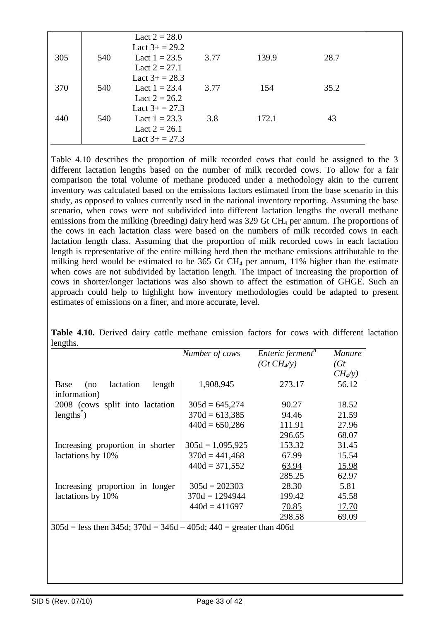|     |     | Lact $2 = 28.0$<br>Lact $3+ = 29.2$ |      |       |      |  |
|-----|-----|-------------------------------------|------|-------|------|--|
| 305 | 540 | Lact $1 = 23.5$                     | 3.77 | 139.9 | 28.7 |  |
|     |     | Lact $2 = 27.1$<br>Lact $3+ = 28.3$ |      |       |      |  |
| 370 | 540 | Lact $1 = 23.4$                     | 3.77 | 154   | 35.2 |  |
|     |     | Lact $2 = 26.2$<br>Lact $3+ = 27.3$ |      |       |      |  |
| 440 | 540 | Lact $1 = 23.3$                     | 3.8  | 172.1 | 43   |  |
|     |     | Lact $2 = 26.1$                     |      |       |      |  |
|     |     | Lact $3+ = 27.3$                    |      |       |      |  |

Table 4.10 describes the proportion of milk recorded cows that could be assigned to the 3 different lactation lengths based on the number of milk recorded cows. To allow for a fair comparison the total volume of methane produced under a methodology akin to the current inventory was calculated based on the emissions factors estimated from the base scenario in this study, as opposed to values currently used in the national inventory reporting. Assuming the base scenario, when cows were not subdivided into different lactation lengths the overall methane emissions from the milking (breeding) dairy herd was 329 Gt CH<sub>4</sub> per annum. The proportions of the cows in each lactation class were based on the numbers of milk recorded cows in each lactation length class. Assuming that the proportion of milk recorded cows in each lactation length is representative of the entire milking herd then the methane emissions attributable to the milking herd would be estimated to be  $365$  Gt CH<sub>4</sub> per annum,  $11\%$  higher than the estimate when cows are not subdivided by lactation length. The impact of increasing the proportion of cows in shorter/longer lactations was also shown to affect the estimation of GHGE. Such an approach could help to highlight how inventory methodologies could be adapted to present estimates of emissions on a finer, and more accurate, level.

| 1015                                               | Number of cows     | Enteric ferment <sup>n</sup><br>$(Gt CH_{4}/y)$ | Manure<br>(Gt)<br>$CH_4(y)$ |
|----------------------------------------------------|--------------------|-------------------------------------------------|-----------------------------|
| lactation<br>length<br>Base<br>(no<br>information) | 1,908,945          | 273.17                                          | 56.12                       |
| 2008 (cows split into lactation                    | $305d = 645,274$   | 90.27                                           | 18.52                       |
| $lengths^2$                                        | $370d = 613,385$   | 94.46                                           | 21.59                       |
|                                                    | $440d = 650,286$   | 111.91                                          | 27.96                       |
|                                                    |                    | 296.65                                          | 68.07                       |
| Increasing proportion in shorter                   | $305d = 1,095,925$ | 153.32                                          | 31.45                       |
| lactations by 10%                                  | $370d = 441,468$   | 67.99                                           | 15.54                       |
|                                                    | $440d = 371,552$   | 63.94                                           | <u>15.98</u>                |
|                                                    |                    | 285.25                                          | 62.97                       |
| Increasing proportion in longer                    | $305d = 202303$    | 28.30                                           | 5.81                        |
| lactations by 10%                                  | $370d = 1294944$   | 199.42                                          | 45.58                       |
|                                                    | $440d = 411697$    | 70.85                                           | 17.70                       |
|                                                    |                    | 298.58                                          | 69.09                       |

**Table 4.10.** Derived dairy cattle methane emission factors for cows with different lactation lengths.

 $305d =$  less then 345d;  $370d = 346d - 405d$ ;  $440 =$  greater than 406d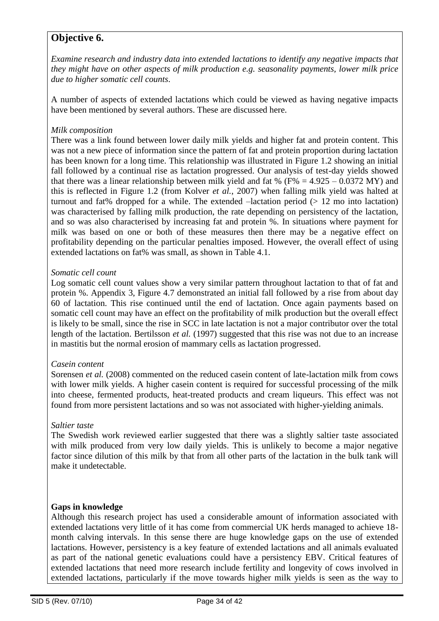# **Objective 6.**

*Examine research and industry data into extended lactations to identify any negative impacts that they might have on other aspects of milk production e.g. seasonality payments, lower milk price due to higher somatic cell counts*.

A number of aspects of extended lactations which could be viewed as having negative impacts have been mentioned by several authors. These are discussed here.

#### *Milk composition*

There was a link found between lower daily milk yields and higher fat and protein content. This was not a new piece of information since the pattern of fat and protein proportion during lactation has been known for a long time. This relationship was illustrated in Figure 1.2 showing an initial fall followed by a continual rise as lactation progressed. Our analysis of test-day yields showed that there was a linear relationship between milk yield and fat % ( $F% = 4.925 - 0.0372$  MY) and this is reflected in Figure 1.2 (from Kolver *et al.*, 2007) when falling milk yield was halted at turnout and fat% dropped for a while. The extended  $-$ lactation period ( $> 12$  mo into lactation) was characterised by falling milk production, the rate depending on persistency of the lactation, and so was also characterised by increasing fat and protein %. In situations where payment for milk was based on one or both of these measures then there may be a negative effect on profitability depending on the particular penalties imposed. However, the overall effect of using extended lactations on fat% was small, as shown in Table 4.1.

#### *Somatic cell count*

Log somatic cell count values show a very similar pattern throughout lactation to that of fat and protein %. Appendix 3, Figure 4.7 demonstrated an initial fall followed by a rise from about day 60 of lactation. This rise continued until the end of lactation. Once again payments based on somatic cell count may have an effect on the profitability of milk production but the overall effect is likely to be small, since the rise in SCC in late lactation is not a major contributor over the total length of the lactation. Bertilsson *et al.* (1997) suggested that this rise was not due to an increase in mastitis but the normal erosion of mammary cells as lactation progressed.

#### *Casein content*

Sorensen *et al.* (2008) commented on the reduced casein content of late-lactation milk from cows with lower milk yields. A higher casein content is required for successful processing of the milk into cheese, fermented products, heat-treated products and cream liqueurs. This effect was not found from more persistent lactations and so was not associated with higher-yielding animals.

#### *Saltier taste*

The Swedish work reviewed earlier suggested that there was a slightly saltier taste associated with milk produced from very low daily yields. This is unlikely to become a major negative factor since dilution of this milk by that from all other parts of the lactation in the bulk tank will make it undetectable.

#### **Gaps in knowledge**

Although this research project has used a considerable amount of information associated with extended lactations very little of it has come from commercial UK herds managed to achieve 18 month calving intervals. In this sense there are huge knowledge gaps on the use of extended lactations. However, persistency is a key feature of extended lactations and all animals evaluated as part of the national genetic evaluations could have a persistency EBV. Critical features of extended lactations that need more research include fertility and longevity of cows involved in extended lactations, particularly if the move towards higher milk yields is seen as the way to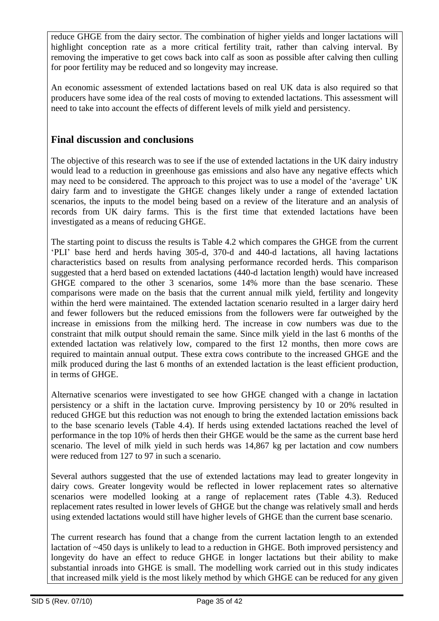reduce GHGE from the dairy sector. The combination of higher yields and longer lactations will highlight conception rate as a more critical fertility trait, rather than calving interval. By removing the imperative to get cows back into calf as soon as possible after calving then culling for poor fertility may be reduced and so longevity may increase.

An economic assessment of extended lactations based on real UK data is also required so that producers have some idea of the real costs of moving to extended lactations. This assessment will need to take into account the effects of different levels of milk yield and persistency.

### **Final discussion and conclusions**

The objective of this research was to see if the use of extended lactations in the UK dairy industry would lead to a reduction in greenhouse gas emissions and also have any negative effects which may need to be considered. The approach to this project was to use a model of the "average" UK dairy farm and to investigate the GHGE changes likely under a range of extended lactation scenarios, the inputs to the model being based on a review of the literature and an analysis of records from UK dairy farms. This is the first time that extended lactations have been investigated as a means of reducing GHGE.

The starting point to discuss the results is Table 4.2 which compares the GHGE from the current "PLI" base herd and herds having 305-d, 370-d and 440-d lactations, all having lactations characteristics based on results from analysing performance recorded herds. This comparison suggested that a herd based on extended lactations (440-d lactation length) would have increased GHGE compared to the other 3 scenarios, some 14% more than the base scenario. These comparisons were made on the basis that the current annual milk yield, fertility and longevity within the herd were maintained. The extended lactation scenario resulted in a larger dairy herd and fewer followers but the reduced emissions from the followers were far outweighed by the increase in emissions from the milking herd. The increase in cow numbers was due to the constraint that milk output should remain the same. Since milk yield in the last 6 months of the extended lactation was relatively low, compared to the first 12 months, then more cows are required to maintain annual output. These extra cows contribute to the increased GHGE and the milk produced during the last 6 months of an extended lactation is the least efficient production, in terms of GHGE.

Alternative scenarios were investigated to see how GHGE changed with a change in lactation persistency or a shift in the lactation curve. Improving persistency by 10 or 20% resulted in reduced GHGE but this reduction was not enough to bring the extended lactation emissions back to the base scenario levels (Table 4.4). If herds using extended lactations reached the level of performance in the top 10% of herds then their GHGE would be the same as the current base herd scenario. The level of milk yield in such herds was 14,867 kg per lactation and cow numbers were reduced from 127 to 97 in such a scenario.

Several authors suggested that the use of extended lactations may lead to greater longevity in dairy cows. Greater longevity would be reflected in lower replacement rates so alternative scenarios were modelled looking at a range of replacement rates (Table 4.3). Reduced replacement rates resulted in lower levels of GHGE but the change was relatively small and herds using extended lactations would still have higher levels of GHGE than the current base scenario.

The current research has found that a change from the current lactation length to an extended lactation of ~450 days is unlikely to lead to a reduction in GHGE. Both improved persistency and longevity do have an effect to reduce GHGE in longer lactations but their ability to make substantial inroads into GHGE is small. The modelling work carried out in this study indicates that increased milk yield is the most likely method by which GHGE can be reduced for any given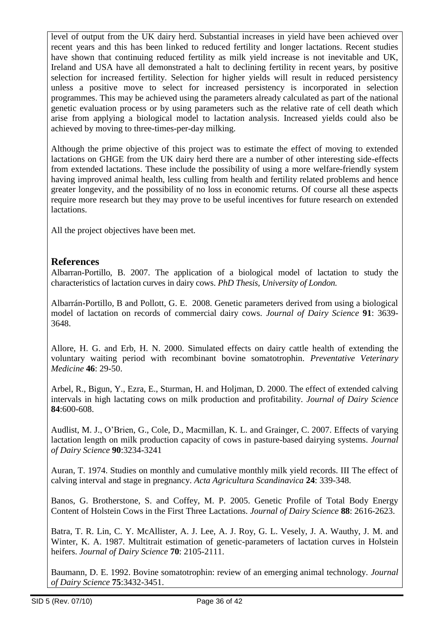level of output from the UK dairy herd. Substantial increases in yield have been achieved over recent years and this has been linked to reduced fertility and longer lactations. Recent studies have shown that continuing reduced fertility as milk yield increase is not inevitable and UK, Ireland and USA have all demonstrated a halt to declining fertility in recent years, by positive selection for increased fertility. Selection for higher yields will result in reduced persistency unless a positive move to select for increased persistency is incorporated in selection programmes. This may be achieved using the parameters already calculated as part of the national genetic evaluation process or by using parameters such as the relative rate of cell death which arise from applying a biological model to lactation analysis. Increased yields could also be achieved by moving to three-times-per-day milking.

Although the prime objective of this project was to estimate the effect of moving to extended lactations on GHGE from the UK dairy herd there are a number of other interesting side-effects from extended lactations. These include the possibility of using a more welfare-friendly system having improved animal health, less culling from health and fertility related problems and hence greater longevity, and the possibility of no loss in economic returns. Of course all these aspects require more research but they may prove to be useful incentives for future research on extended lactations.

All the project objectives have been met.

### **References**

Albarran-Portillo, B. 2007. The application of a biological model of lactation to study the characteristics of lactation curves in dairy cows. *PhD Thesis, University of London.*

Albarrán-Portillo, B and Pollott, G. E. 2008. Genetic parameters derived from using a biological model of lactation on records of commercial dairy cows. *Journal of Dairy Science* **91**: 3639- 3648.

Allore, H. G. and Erb, H. N. 2000. Simulated effects on dairy cattle health of extending the voluntary waiting period with recombinant bovine somatotrophin. *Preventative Veterinary Medicine* **46**: 29-50.

Arbel, R., Bigun, Y., Ezra, E., Sturman, H. and Holjman, D. 2000. The effect of extended calving intervals in high lactating cows on milk production and profitability. *Journal of Dairy Science* **84**:600-608.

Audlist, M. J., O"Brien, G., Cole, D., Macmillan, K. L. and Grainger, C. 2007. Effects of varying lactation length on milk production capacity of cows in pasture-based dairying systems. *Journal of Dairy Science* **90**:3234-3241

Auran, T. 1974. Studies on monthly and cumulative monthly milk yield records. III The effect of calving interval and stage in pregnancy. *Acta Agricultura Scandinavica* **24**: 339-348.

Banos, G. Brotherstone, S. and Coffey, M. P. 2005. Genetic Profile of Total Body Energy Content of Holstein Cows in the First Three Lactations. *Journal of Dairy Science* **88**: 2616-2623.

Batra, T. R. Lin, C. Y. McAllister, A. J. Lee, A. J. Roy, G. L. Vesely, J. A. Wauthy, J. M. and Winter, K. A. 1987. Multitrait estimation of genetic-parameters of lactation curves in Holstein heifers. *Journal of Dairy Science* **70**: 2105-2111.

Baumann, D. E. 1992. Bovine somatotrophin: review of an emerging animal technology. *Journal of Dairy Science* **75**:3432-3451.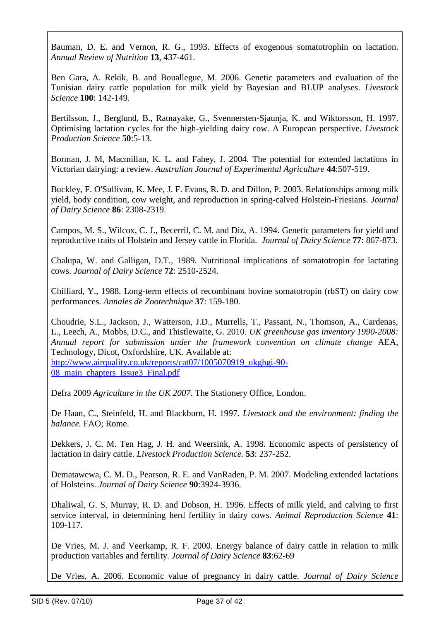Bauman, D. E. and Vernon, R. G., 1993. Effects of exogenous somatotrophin on lactation. *Annual Review of Nutrition* **13**, 437-461.

Ben Gara, A. Rekik, B. and Bouallegue, M. 2006. Genetic parameters and evaluation of the Tunisian dairy cattle population for milk yield by Bayesian and BLUP analyses. *Livestock Science* **100**: 142-149.

Bertilsson, J., Berglund, B., Ratnayake, G., Svennersten-Sjaunja, K. and Wiktorsson, H. 1997. Optimising lactation cycles for the high-yielding dairy cow. A European perspective. *Livestock Production Science* **50**:5-13.

Borman, J. M, Macmillan, K. L. and Fahey, J. 2004. The potential for extended lactations in Victorian dairying: a review. *Australian Journal of Experimental Agriculture* **44**:507-519.

Buckley, F. O'Sullivan, K. Mee, J. F. Evans, R. D. and Dillon, P. 2003. Relationships among milk yield, body condition, cow weight, and reproduction in spring-calved Holstein-Friesians. *Journal of Dairy Science* **86**: 2308-2319.

Campos, M. S., Wilcox, C. J., Becerril, C. M. and Diz, A. 1994. Genetic parameters for yield and reproductive traits of Holstein and Jersey cattle in Florida. *Journal of Dairy Science* **77**: 867-873.

Chalupa, W. and Galligan, D.T., 1989. Nutritional implications of somatotropin for lactating cows. *Journal of Dairy Science* **72**: 2510-2524.

Chilliard, Y., 1988. Long-term effects of recombinant bovine somatotropin (rbST) on dairy cow performances. *Annales de Zootechnique* **37**: 159-180.

Choudrie, S.L., Jackson, J., Watterson, J.D., Murrells, T., Passant, N., Thomson, A., Cardenas, L., Leech, A., Mobbs, D.C., and Thistlewaite, G. 2010. *UK greenhouse gas inventory 1990-2008: Annual report for submission under the framework convention on climate change* AEA, Technology, Dicot, Oxfordshire, UK. Available at:

[http://www.airquality.co.uk/reports/cat07/1005070919\\_ukghgi-90-](http://www.airquality.co.uk/reports/cat07/1005070919_ukghgi-90-08_main_chapters_Issue3_Final.pdf) [08\\_main\\_chapters\\_Issue3\\_Final.pdf](http://www.airquality.co.uk/reports/cat07/1005070919_ukghgi-90-08_main_chapters_Issue3_Final.pdf)

Defra 2009 *Agriculture in the UK 2007.* The Stationery Office, London.

De Haan, C., Steinfeld, H. and Blackburn, H. 1997. *Livestock and the environment: finding the balance.* FAO; Rome.

Dekkers, J. C. M. Ten Hag, J. H. and Weersink, A. 1998. Economic aspects of persistency of lactation in dairy cattle. *Livestock Production Science.* **53**: 237-252.

Dematawewa, C. M. D., Pearson, R. E. and VanRaden, P. M. 2007. Modeling extended lactations of Holsteins. *Journal of Dairy Science* **90**:3924-3936.

Dhaliwal, G. S. Murray, R. D. and Dobson, H. 1996. Effects of milk yield, and calving to first service interval, in determining herd fertility in dairy cows. *Animal Reproduction Science* **41**: 109-117.

De Vries, M. J. and Veerkamp, R. F. 2000. Energy balance of dairy cattle in relation to milk production variables and fertility. *[Journal of Dairy Science](http://www.sciencedirect.com/science/journal/00220302)* **83**:62-69

De Vries, A. 2006. Economic value of pregnancy in dairy cattle. *Journal of Dairy Science*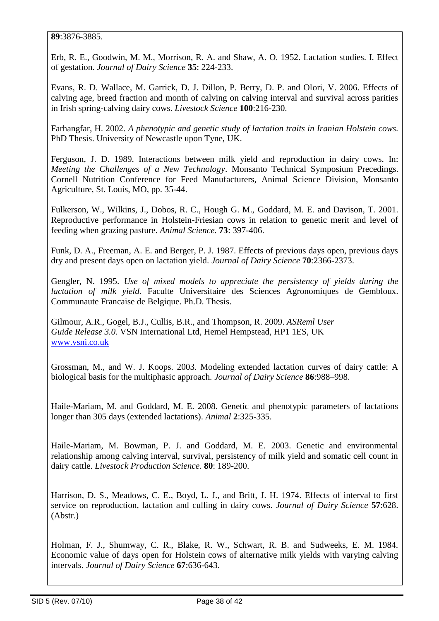**89**:3876-3885.

Erb, R. E., Goodwin, M. M., Morrison, R. A. and Shaw, A. O. 1952. Lactation studies. I. Effect of gestation. *Journal of Dairy Science* **35**: 224-233.

Evans, R. D. Wallace, M. Garrick, D. J. Dillon, P. Berry, D. P. and Olori, V. 2006. Effects of calving age, breed fraction and month of calving on calving interval and survival across parities in Irish spring-calving dairy cows. *Livestock Science* **100**:216-230.

Farhangfar, H. 2002. *A phenotypic and genetic study of lactation traits in Iranian Holstein cows.* PhD Thesis. University of Newcastle upon Tyne, UK.

Ferguson, J. D. 1989. Interactions between milk yield and reproduction in dairy cows. In: *Meeting the Challenges of a New Technology*. Monsanto Technical Symposium Precedings. Cornell Nutrition Conference for Feed Manufacturers, Animal Science Division, Monsanto Agriculture, St. Louis, MO, pp. 35-44.

Fulkerson, W., Wilkins, J., Dobos, R. C., Hough G. M., Goddard, M. E. and Davison, T. 2001. Reproductive performance in Holstein-Friesian cows in relation to genetic merit and level of feeding when grazing pasture. *Animal Science.* **73**: 397-406.

Funk, D. A., Freeman, A. E. and Berger, P. J. 1987. Effects of previous days open, previous days dry and present days open on lactation yield. *Journal of Dairy Science* **70**:2366-2373.

Gengler, N. 1995. *Use of mixed models to appreciate the persistency of yields during the lactation of milk yield.* Faculte Universitaire des Sciences Agronomiques de Gembloux. Communaute Francaise de Belgique. Ph.D. Thesis.

Gilmour, A.R., Gogel, B.J., Cullis, B.R., and Thompson, R. 2009. *ASReml User Guide Release 3.0.* VSN International Ltd, Hemel Hempstead, HP1 1ES, UK [www.vsni.co.uk](http://www.vsni.co.uk/)

Grossman, M., and W. J. Koops. 2003. Modeling extended lactation curves of dairy cattle: A biological basis for the multiphasic approach. *Journal of Dairy Science* **86**:988–998.

Haile-Mariam, M. and Goddard, M. E. 2008. Genetic and phenotypic parameters of lactations longer than 305 days (extended lactations). *Animal* **2**:325-335.

Haile-Mariam, M. Bowman, P. J. and Goddard, M. E. 2003. Genetic and environmental relationship among calving interval, survival, persistency of milk yield and somatic cell count in dairy cattle. *Livestock Production Science.* **80**: 189-200.

Harrison, D. S., Meadows, C. E., Boyd, L. J., and Britt, J. H. 1974. Effects of interval to first service on reproduction, lactation and culling in dairy cows. *Journal of Dairy Science* **57**:628. (Abstr.)

Holman, F. J., Shumway, C. R., Blake, R. W., Schwart, R. B. and Sudweeks, E. M. 1984. Economic value of days open for Holstein cows of alternative milk yields with varying calving intervals. *Journal of Dairy Science* **67**:636-643.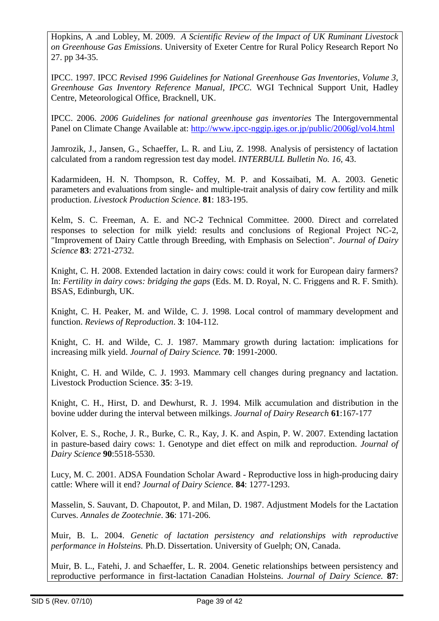Hopkins, A .and Lobley, M. 2009. *A Scientific Review of the Impact of UK Ruminant Livestock on Greenhouse Gas Emissions*. University of Exeter Centre for Rural Policy Research Report No 27. pp 34-35.

IPCC. 1997. IPCC *Revised 1996 Guidelines for National Greenhouse Gas Inventories, Volume 3, Greenhouse Gas Inventory Reference Manual, IPCC.* WGI Technical Support Unit, Hadley Centre, Meteorological Office, Bracknell, UK.

IPCC. 2006. *2006 Guidelines for national greenhouse gas inventories* The Intergovernmental Panel on Climate Change Available at:<http://www.ipcc-nggip.iges.or.jp/public/2006gl/vol4.html>

Jamrozik, J., Jansen, G., Schaeffer, L. R. and Liu, Z. 1998. Analysis of persistency of lactation calculated from a random regression test day model. *INTERBULL Bulletin No. 16,* 43.

Kadarmideen, H. N. Thompson, R. Coffey, M. P. and Kossaibati, M. A. 2003. Genetic parameters and evaluations from single- and multiple-trait analysis of dairy cow fertility and milk production. *Livestock Production Science*. **81**: 183-195.

Kelm, S. C. Freeman, A. E. and NC-2 Technical Committee. 2000. Direct and correlated responses to selection for milk yield: results and conclusions of Regional Project NC-2, "Improvement of Dairy Cattle through Breeding, with Emphasis on Selection". *Journal of Dairy Science* **83**: 2721-2732.

Knight, C. H. 2008. Extended lactation in dairy cows: could it work for European dairy farmers? In: *Fertility in dairy cows: bridging the gaps* (Eds. M. D. Royal, N. C. Friggens and R. F. Smith). BSAS, Edinburgh, UK.

Knight, C. H. Peaker, M. and Wilde, C. J. 1998. Local control of mammary development and function. *Reviews of Reproduction*. **3**: 104-112.

Knight, C. H. and Wilde, C. J. 1987. Mammary growth during lactation: implications for increasing milk yield. *Journal of Dairy Science.* **70**: 1991-2000.

Knight, C. H. and Wilde, C. J. 1993. Mammary cell changes during pregnancy and lactation. Livestock Production Science. **35**: 3-19.

Knight, C. H., Hirst, D. and Dewhurst, R. J. 1994. Milk accumulation and distribution in the bovine udder during the interval between milkings. *Journal of Dairy Research* **61**:167-177

Kolver, E. S., Roche, J. R., Burke, C. R., Kay, J. K. and Aspin, P. W. 2007. Extending lactation in pasture-based dairy cows: 1. Genotype and diet effect on milk and reproduction. *Journal of Dairy Science* **90**:5518-5530.

Lucy, M. C. 2001. ADSA Foundation Scholar Award - Reproductive loss in high-producing dairy cattle: Where will it end? *Journal of Dairy Science.* **84**: 1277-1293.

Masselin, S. Sauvant, D. Chapoutot, P. and Milan, D. 1987. Adjustment Models for the Lactation Curves. *Annales de Zootechnie*. **36**: 171-206.

Muir, B. L. 2004. *Genetic of lactation persistency and relationships with reproductive performance in Holsteins.* Ph.D. Dissertation. University of Guelph; ON, Canada.

Muir, B. L., Fatehi, J. and Schaeffer, L. R. 2004. Genetic relationships between persistency and reproductive performance in first-lactation Canadian Holsteins. *Journal of Dairy Science.* **87**: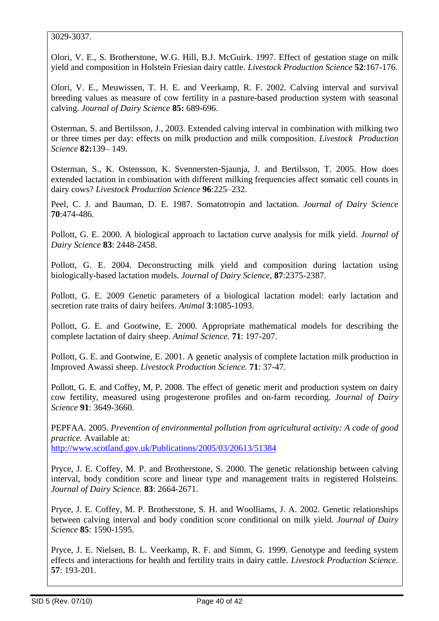#### 3029-3037.

Olori, V. E., S. Brotherstone, W.G. Hill, B.J. McGuirk. 1997. Effect of gestation stage on milk yield and composition in Holstein Friesian dairy cattle. *Livestock Production Science* **52**:167-176.

Olori, V. E., Meuwissen, T. H. E. and Veerkamp, R. F. 2002. Calving interval and survival breeding values as measure of cow fertility in a pasture-based production system with seasonal calving. *Journal of Dairy Science* **85:** 689-696.

Osterman, S. and Bertilsson, J., 2003. Extended calving interval in combination with milking two or three times per day: effects on milk production and milk composition. *Livestock Production Science* **82:**139– 149.

Osterman, S., K. Ostensson, K. Svennersten-Sjaunja, J. and Bertilsson, T. 2005. How does extended lactation in combination with different milking frequencies affect somatic cell counts in dairy cows? *Livestock Production Science* **96**:225–232.

Peel, C. J. and Bauman, D. E. 1987. Somatotropin and lactation. *Journal of Dairy Science* **70**:474-486.

Pollott, G. E. 2000. A biological approach to lactation curve analysis for milk yield. *Journal of Dairy Science* **83**: 2448-2458.

Pollott, G. E. 2004. Deconstructing milk yield and composition during lactation using biologically-based lactation models. *Journal of Dairy Science*, **87**:2375-2387.

Pollott, G. E. 2009 Genetic parameters of a biological lactation model: early lactation and secretion rate traits of dairy heifers. *Animal* **3**:1085-1093.

Pollott, G. E. and Gootwine, E. 2000. Appropriate mathematical models for describing the complete lactation of dairy sheep. *Animal Science.* **71**: 197-207.

Pollott, G. E. and Gootwine, E. 2001. A genetic analysis of complete lactation milk production in Improved Awassi sheep. *Livestock Production Science.* **71**: 37-47.

Pollott, G. E. and Coffey, M, P. 2008. The effect of genetic merit and production system on dairy cow fertility, measured using progesterone profiles and on-farm recording. *Journal of Dairy Science* **91**: 3649-3660.

PEPFAA. 2005. *Prevention of environmental pollution from agricultural activity: A code of good practice.* Available at:

<http://www.scotland.gov.uk/Publications/2005/03/20613/51384>

Pryce, J. E. Coffey, M. P. and Brotherstone, S. 2000. The genetic relationship between calving interval, body condition score and linear type and management traits in registered Holsteins. *Journal of Dairy Science.* **83**: 2664-2671.

Pryce, J. E. Coffey, M. P. Brotherstone, S. H. and Woolliams, J. A. 2002. Genetic relationships between calving interval and body condition score conditional on milk yield. *Journal of Dairy Science* **85**: 1590-1595.

Pryce, J. E. Nielsen, B. L. Veerkamp, R. F. and Simm, G. 1999. Genotype and feeding system effects and interactions for health and fertility traits in dairy cattle. *Livestock Production Science.* **57**: 193-201.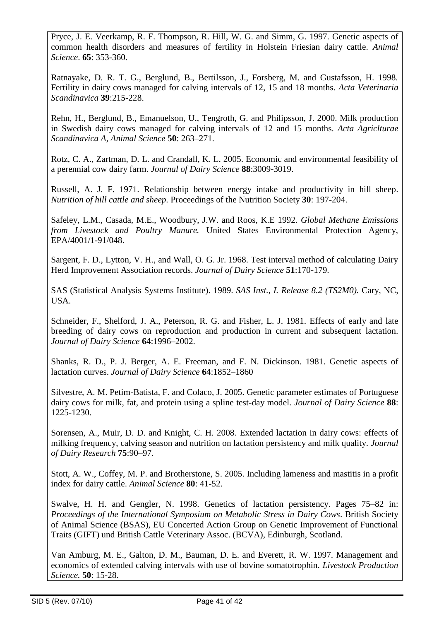Pryce, J. E. Veerkamp, R. F. Thompson, R. Hill, W. G. and Simm, G. 1997. Genetic aspects of common health disorders and measures of fertility in Holstein Friesian dairy cattle. *Animal Science*. **65**: 353-360.

Ratnayake, D. R. T. G., Berglund, B., Bertilsson, J., Forsberg, M. and Gustafsson, H. 1998. Fertility in dairy cows managed for calving intervals of 12, 15 and 18 months. *Acta Veterinaria Scandinavica* **39**:215-228.

Rehn, H., Berglund, B., Emanuelson, U., Tengroth, G. and Philipsson, J. 2000. Milk production in Swedish dairy cows managed for calving intervals of 12 and 15 months. *Acta Agriclturae Scandinavica A, Animal Science* **50**: 263–271.

Rotz, C. A., Zartman, D. L. and Crandall, K. L. 2005. Economic and environmental feasibility of a perennial cow dairy farm. *Journal of Dairy Science* **88**:3009-3019.

Russell, A. J. F. 1971. Relationship between energy intake and productivity in hill sheep. *Nutrition of hill cattle and sheep.* Proceedings of the Nutrition Society **30**: 197-204.

Safeley, L.M., Casada, M.E., Woodbury, J.W. and Roos, K.E 1992. *Global Methane Emissions from Livestock and Poultry Manure.* United States Environmental Protection Agency, EPA/4001/1-91/048.

Sargent, F. D., Lytton, V. H., and Wall, O. G. Jr. 1968. Test interval method of calculating Dairy Herd Improvement Association records. *Journal of Dairy Science* **51**:170-179.

SAS (Statistical Analysis Systems Institute). 1989. *SAS Inst., I. Release 8.2 (TS2M0).* Cary, NC, USA.

Schneider, F., Shelford, J. A., Peterson, R. G. and Fisher, L. J. 1981. Effects of early and late breeding of dairy cows on reproduction and production in current and subsequent lactation. *Journal of Dairy Science* **64**:1996–2002.

Shanks, R. D., P. J. Berger, A. E. Freeman, and F. N. Dickinson. 1981. Genetic aspects of lactation curves. *Journal of Dairy Science* **64**:1852–1860

Silvestre, A. M. Petim-Batista, F. and Colaco, J. 2005. Genetic parameter estimates of Portuguese dairy cows for milk, fat, and protein using a spline test-day model. *Journal of Dairy Science* **88**: 1225-1230.

Sorensen, A., Muir, D. D. and Knight, C. H. 2008. Extended lactation in dairy cows: effects of milking frequency, calving season and nutrition on lactation persistency and milk quality. *Journal of Dairy Research* **75**:90–97.

Stott, A. W., Coffey, M. P. and Brotherstone, S. 2005. Including lameness and mastitis in a profit index for dairy cattle. *Animal Science* **80**: 41-52.

Swalve, H. H. and Gengler, N. 1998. Genetics of lactation persistency. Pages 75–82 in: *Proceedings of the International Symposium on Metabolic Stress in Dairy Cows*. British Society of Animal Science (BSAS), EU Concerted Action Group on Genetic Improvement of Functional Traits (GIFT) und British Cattle Veterinary Assoc. (BCVA), Edinburgh, Scotland.

Van Amburg, M. E., Galton, D. M., Bauman, D. E. and Everett, R. W. 1997. Management and economics of extended calving intervals with use of bovine somatotrophin. *Livestock Production Science.* **50**: 15-28.